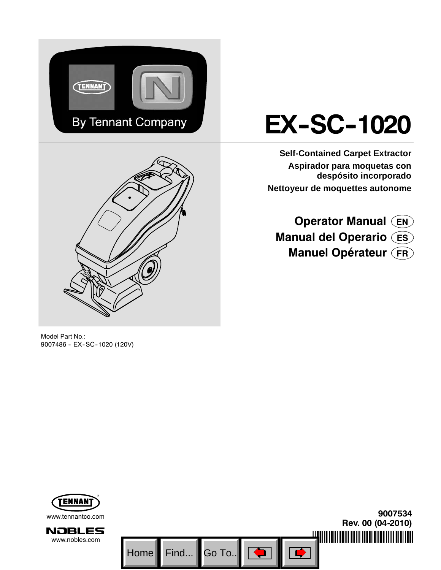



# **EX-SC-1020**

**Self-Contained Carpet Extractor Aspirador para moquetas con despósito incorporado Nettoyeur de moquettes autonome**

**Operator Manual EN Manual del Operario ES Manuel Opérateur FR**

Model Part No.: 9007486 - EX-SC-1020 (120V)

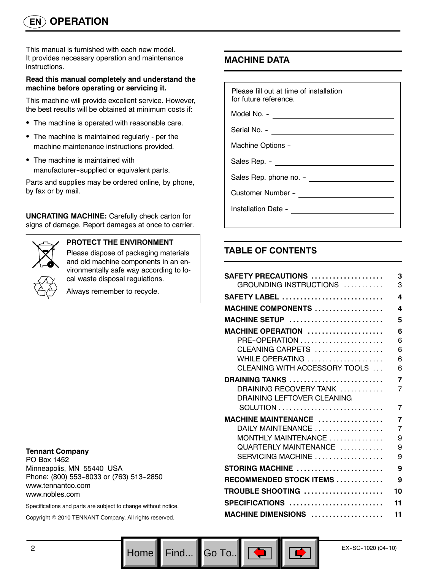This manual is furnished with each new model. It provides necessary operation and maintenance instructions.

#### **Read this manual completely and understand the machine before operating or servicing it.**

This machine will provide excellent service. However, the best results will be obtained at minimum costs if:

- The machine is operated with reasonable care.
- The machine is maintained regularly per the machine maintenance instructions provided.
- The machine is maintained with manufacturer--supplied or equivalent parts.

Parts and supplies may be ordered online, by phone, by fax or by mail.

**UNCRATING MACHINE:** Carefully check carton for signs of damage. Report damages at once to carrier.



## **PROTECT THE ENVIRONMENT**

Please dispose of packaging materials and old machine components in an environmentally safe way according to local waste disposal regulations.

Always remember to recycle.

#### **Tennant Company**

PO Box 1452 Minneapolis, MN 55440 USA Phone: (800) 553-8033 or (763) 513-2850 www.tennantco.com www.nobles.com

Specifications and parts are subject to change without notice.

Copyright © 2010 TENNANT Company. All rights reserved.

## **MACHINE DATA**

| Please fill out at time of installation<br>for future reference. |  |  |  |
|------------------------------------------------------------------|--|--|--|
| Model No. - __________________________________                   |  |  |  |
|                                                                  |  |  |  |
|                                                                  |  |  |  |
| Sales Rep. - ________________________________                    |  |  |  |
|                                                                  |  |  |  |
|                                                                  |  |  |  |
|                                                                  |  |  |  |
|                                                                  |  |  |  |

## **TABLE OF CONTENTS**

Go To.. $\|$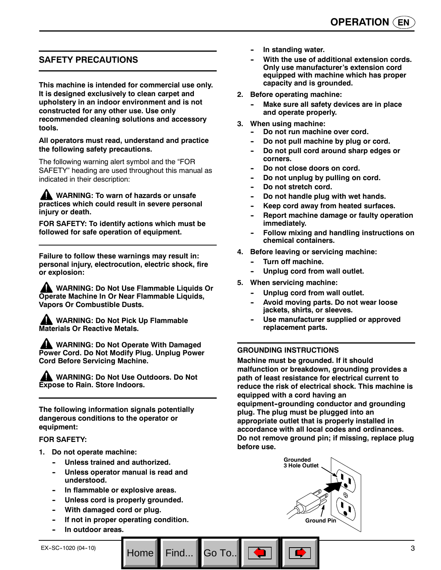## **SAFETY PRECAUTIONS**

**This machine is intended for commercial use only. It is designed exclusively to clean carpet and upholstery in an indoor environment and is not constructed for any other use. Use only recommended cleaning solutions and accessory tools.**

#### **All operators must read, understand and practice the following safety precautions.**

The following warning alert symbol and the "FOR SAFETY" heading are used throughout this manual as indicated in their description:

**WARNING: To warn of hazards or unsafe practices which could result in severe personal injury or death.**

**FOR SAFETY: To identify actions which must be followed for safe operation of equipment.**

**Failure to follow these warnings may result in: personal injury, electrocution, electric shock, fire or explosion:**

**WARNING: Do Not Use Flammable Liquids Or Operate Machine In Or Near Flammable Liquids, Vapors Or Combustible Dusts.**

**WARNING: Do Not Pick Up Flammable Materials Or Reactive Metals.**

**WARNING: Do Not Operate With Damaged Power Cord. Do Not Modify Plug. Unplug Power Cord Before Servicing Machine.**

**WARNING: Do Not Use Outdoors. Do Not Expose to Rain. Store Indoors.**

**The following information signals potentially dangerous conditions to the operator or equipment:**

#### **FOR SAFETY:**

- **1. Do not operate machine:**
	- **-- Unless trained and authorized.**
	- Unless operator manual is read and **understood.**
	- In flammable or explosive areas.
	- Unless cord is properly grounded.
	- **With damaged cord or plug.**
	- **If not in proper operating condition.**

Go To.

**-- In outdoor areas.**

- With the use of additional extension cords. **Only use manufacturer's extension cord equipped with machine which has proper capacity and is grounded.**
- **2. Before operating machine:**
	- **Make sure all safety devices are in place and operate properly.**
- **3. When using machine:**
	- Do not run machine over cord.
	- Do not pull machine by plug or cord.
	- Do not pull cord around sharp edges or **corners.**
	- Do not close doors on cord.
	- Do not unplug by pulling on cord.
	- Do not stretch cord.
	- Do not handle plug with wet hands.
	- Keep cord away from heated surfaces.
	- **Report machine damage or faulty operation immediately.**
	- **Follow mixing and handling instructions on chemical containers.**
- **4. Before leaving or servicing machine:**
	- **Turn off machine.**
	- Unplug cord from wall outlet.
- **5. When servicing machine:**
	- Unplug cord from wall outlet.
	- Avoid moving parts. Do not wear loose **jackets, shirts, or sleeves.**
	- Use manufacturer supplied or approved **replacement parts.**

#### **GROUNDING INSTRUCTIONS**

**Machine must be grounded. If it should malfunction or breakdown, grounding provides a path of least resistance for electrical current to reduce the risk of electrical shock. This machine is equipped with a cord having an** equipment-grounding conductor and grounding **plug. The plug must be plugged into an appropriate outlet that is properly installed in accordance with all local codes and ordinances. Do not remove ground pin; if missing, replace plug before use.**

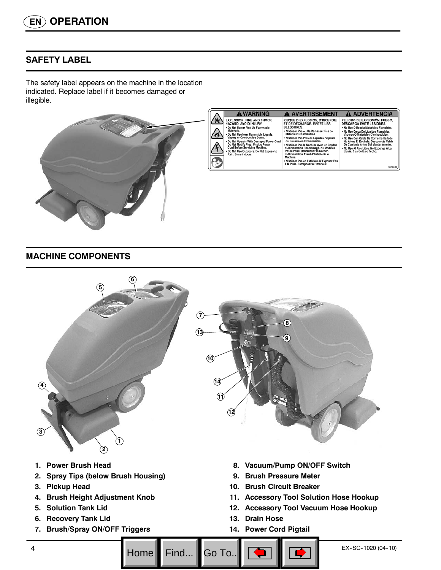## **SAFETY LABEL**

The safety label appears on the machine in the location indicated. Replace label if it becomes damaged or illegible.



## **MACHINE COMPONENTS**



- **12. Accessory Tool Vacuum Hose Hookup**
- **13. Drain Hose**
- **14. Power Cord Pigtail**
- 
- **4. Brush Height Adjustment Knob**
- **5. Solution Tank Lid**
- **6. Recovery Tank Lid**
- **7. Brush/Spray ON/OFF Triggers**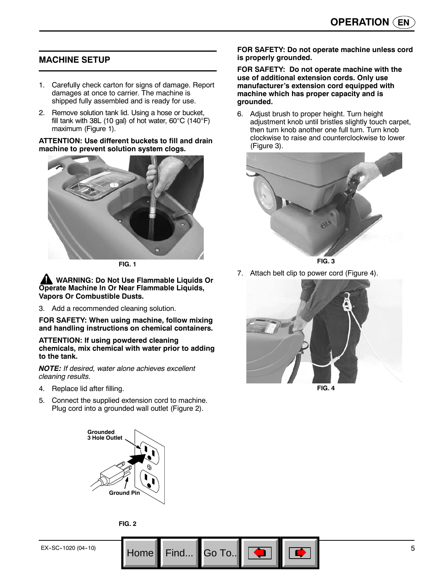## **MACHINE SETUP**

- 1. Carefully check carton for signs of damage. Report damages at once to carrier. The machine is shipped fully assembled and is ready for use.
- 2. Remove solution tank lid. Using a hose or bucket, fill tank with 38L (10 gal) of hot water, 60°C (140°F) maximum (Figure 1).

**ATTENTION: Use different buckets to fill and drain machine to prevent solution system clogs.**



**FIG. 1**

**WARNING: Do Not Use Flammable Liquids Or Operate Machine In Or Near Flammable Liquids, Vapors Or Combustible Dusts.**

3. Add a recommended cleaning solution.

**FOR SAFETY: When using machine, follow mixing and handling instructions on chemical containers.**

**ATTENTION: If using powdered cleaning chemicals, mix chemical with water prior to adding to the tank.**

*NOTE: If desired, water alone achieves excellent cleaning results.*

- 4. Replace lid after filling.
- 5. Connect the supplied extension cord to machine. Plug cord into a grounded wall outlet (Figure 2).



**FOR SAFETY: Do not operate machine with the use of additional extension cords. Only use manufacturer's extension cord equipped with machine which has proper capacity and is grounded.**

6. Adjust brush to proper height. Turn height adjustment knob until bristles slightly touch carpet, then turn knob another one full turn. Turn knob clockwise to raise and counterclockwise to lower (Figure 3).





7. Attach belt clip to power cord (Figure 4).



**Grounded 3 Hole Outlet Ground Pin**



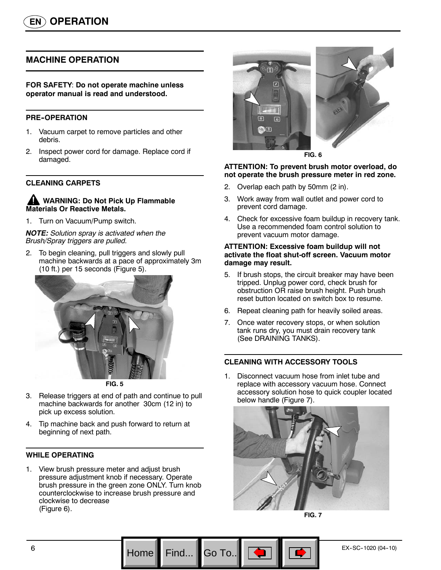## **MACHINE OPERATION**

#### **FOR SAFETY**: **Do not operate machine unless operator manual is read and understood.**

#### **PRE-OPERATION**

- 1. Vacuum carpet to remove particles and other debris.
- 2. Inspect power cord for damage. Replace cord if damaged.

#### **CLEANING CARPETS**

#### **WARNING: Do Not Pick Up Flammable Materials Or Reactive Metals.**

1. Turn on Vacuum/Pump switch.

#### *NOTE: Solution spray is activated when the Brush/Spray triggers are pulled.*

2. To begin cleaning, pull triggers and slowly pull machine backwards at a pace of approximately 3m (10 ft.) per 15 seconds (Figure 5).





- 3. Release triggers at end of path and continue to pull machine backwards for another 30cm (12 in) to pick up excess solution.
- 4. Tip machine back and push forward to return at beginning of next path.

#### **WHILE OPERATING**

1. View brush pressure meter and adjust brush pressure adjustment knob if necessary. Operate brush pressure in the green zone ONLY. Turn knob counterclockwise to increase brush pressure and clockwise to decrease (Figure 6).



#### **ATTENTION: To prevent brush motor overload, do not operate the brush pressure meter in red zone.**

- 2. Overlap each path by 50mm (2 in).
- 3. Work away from wall outlet and power cord to prevent cord damage.
- 4. Check for excessive foam buildup in recovery tank. Use a recommended foam control solution to prevent vacuum motor damage.

#### **ATTENTION: Excessive foam buildup will not activate the float shut-off screen. Vacuum motor damage may result.**

- 5. If brush stops, the circuit breaker may have been tripped. Unplug power cord, check brush for obstruction OR raise brush height. Push brush reset button located on switch box to resume.
- 6. Repeat cleaning path for heavily soiled areas.
- 7. Once water recovery stops, or when solution tank runs dry, you must drain recovery tank (See DRAINING TANKS).

#### **CLEANING WITH ACCESSORY TOOLS**

1. Disconnect vacuum hose from inlet tube and replace with accessory vacuum hose. Connect accessory solution hose to quick coupler located below handle (Figure 7).





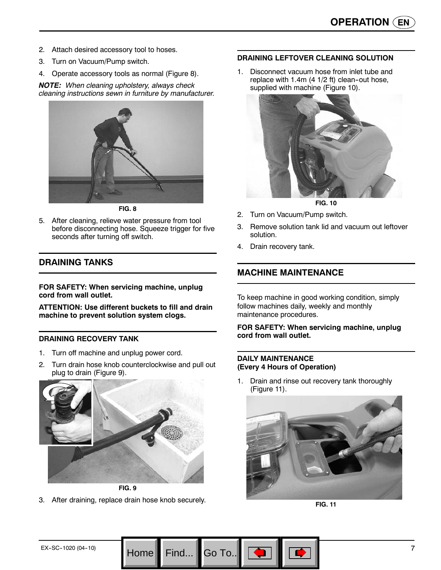- 2. Attach desired accessory tool to hoses.
- 3. Turn on Vacuum/Pump switch.
- 4. Operate accessory tools as normal (Figure 8).

*NOTE: When cleaning upholstery, always check cleaning instructions sewn in furniture by manufacturer.*



**FIG. 8**

5. After cleaning, relieve water pressure from tool before disconnecting hose. Squeeze trigger for five seconds after turning off switch.

## **DRAINING TANKS**

**FOR SAFETY: When servicing machine, unplug cord from wall outlet.**

**ATTENTION: Use different buckets to fill and drain machine to prevent solution system clogs.**

#### **DRAINING RECOVERY TANK**

- 1. Turn off machine and unplug power cord.
- 2. Turn drain hose knob counterclockwise and pull out plug to drain (Figure 9).



**FIG. 9**

3. After draining, replace drain hose knob securely.

#### **DRAINING LEFTOVER CLEANING SOLUTION**

1. Disconnect vacuum hose from inlet tube and replace with 1.4m (4  $1/2$  ft) clean-out hose, supplied with machine (Figure 10).



**FIG. 10**

- 2. Turn on Vacuum/Pump switch.
- 3. Remove solution tank lid and vacuum out leftover solution.
- 4. Drain recovery tank.

## **MACHINE MAINTENANCE**

To keep machine in good working condition, simply follow machines daily, weekly and monthly maintenance procedures.

**FOR SAFETY: When servicing machine, unplug cord from wall outlet.**

#### **DAILY MAINTENANCE (Every 4 Hours of Operation)**

Go To.

1. Drain and rinse out recovery tank thoroughly (Figure 11).



**FIG. 11**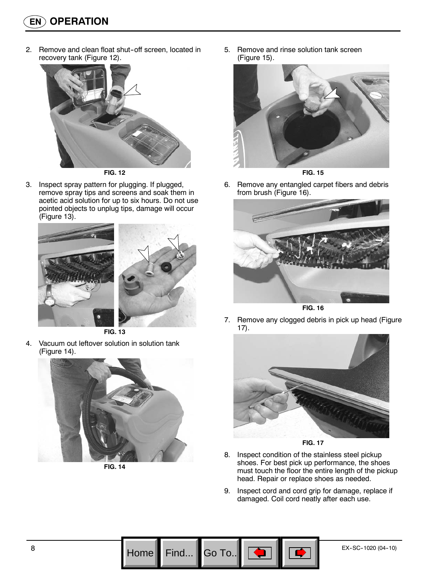2. Remove and clean float shut-off screen, located in recovery tank (Figure 12).



**FIG. 12**

3. Inspect spray pattern for plugging. If plugged, remove spray tips and screens and soak them in acetic acid solution for up to six hours. Do not use pointed objects to unplug tips, damage will occur (Figure 13).



**FIG. 13**

4. Vacuum out leftover solution in solution tank (Figure 14).



**FIG. 14**

5. Remove and rinse solution tank screen (Figure 15).



**FIG. 15**

6. Remove any entangled carpet fibers and debris from brush (Figure 16).



**FIG. 16**

7. Remove any clogged debris in pick up head (Figure 17).





- 8. Inspect condition of the stainless steel pickup shoes. For best pick up performance, the shoes must touch the floor the entire length of the pickup head. Repair or replace shoes as needed.
- 9. Inspect cord and cord grip for damage, replace if damaged. Coil cord neatly after each use.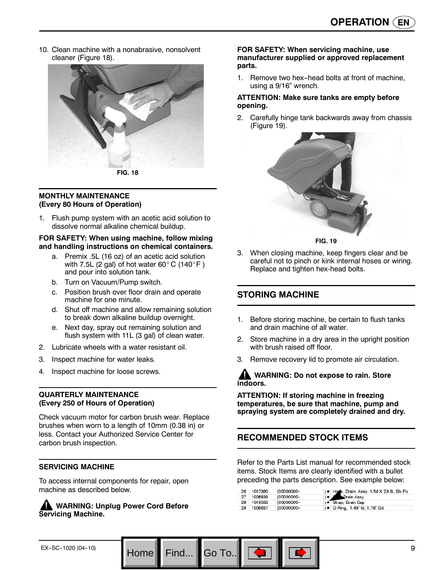10. Clean machine with a nonabrasive, nonsolvent cleaner (Figure 18).



#### **MONTHLY MAINTENANCE (Every 80 Hours of Operation)**

Flush pump system with an acetic acid solution to dissolve normal alkaline chemical buildup.

#### **FOR SAFETY: When using machine, follow mixing and handling instructions on chemical containers.**

- a. Premix .5L (16 oz) of an acetic acid solution with 7.5L (2 gal) of hot water 60 $^{\circ}$  C (140 $^{\circ}$  F) and pour into solution tank.
- b. Turn on Vacuum/Pump switch.
- c. Position brush over floor drain and operate machine for one minute.
- d. Shut off machine and allow remaining solution to break down alkaline buildup overnight.
- e. Next day, spray out remaining solution and flush system with 11L (3 gal) of clean water.
- 2. Lubricate wheels with a water resistant oil.
- 3. Inspect machine for water leaks.
- 4. Inspect machine for loose screws.

#### **QUARTERLY MAINTENANCE (Every 250 of Hours of Operation)**

Check vacuum motor for carbon brush wear. Replace brushes when worn to a length of 10mm (0.38 in) or less. Contact your Authorized Service Center for carbon brush inspection.

#### **SERVICING MACHINE**

To access internal components for repair, open machine as described below.

#### **WARNING: Unplug Power Cord Before Servicing Machine.**

#### **FOR SAFETY: When servicing machine, use manufacturer supplied or approved replacement parts.**

1. Remove two hex-head bolts at front of machine. using a 9/16" wrench.

#### **ATTENTION: Make sure tanks are empty before opening.**

2. Carefully hinge tank backwards away from chassis (Figure 19).



**FIG. 19**

3. When closing machine, keep fingers clear and be careful not to pinch or kink internal hoses or wiring. Replace and tighten hex-head bolts.

## **STORING MACHINE**

- 1. Before storing machine, be certain to flush tanks and drain machine of all water.
- 2. Store machine in a dry area in the upright position with brush raised off floor.
- 3. Remove recovery lid to promote air circulation.

**WARNING: Do not expose to rain. Store indoors.**

**ATTENTION: If storing machine in freezing temperatures, be sure that machine, pump and spraying system are completely drained and dry.**

## **RECOMMENDED STOCK ITEMS**

Go To.

Refer to the Parts List manual for recommended stock items. Stock Items are clearly identified with a bullet preceding the parts description. See example below:

| $-26$ | 1017380 | (00000000- | ) . Home, Drain, Assy, 1.5d X 29.5l, Blk, Flx |
|-------|---------|------------|-----------------------------------------------|
| -27   | 1008639 | (00000000- | e <i>C</i> Drain Assy                         |
| 28    | 1019563 | (00000000- | ) · Strap, Drain Cap                          |
| 29    | 1008637 | (00000000- | ) • O Ring, 1.48" ld, 1.76" Od                |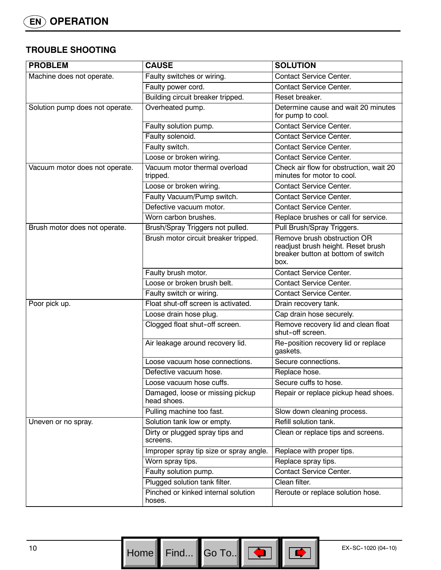## **TROUBLE SHOOTING**

| <b>PROBLEM</b>                  | <b>CAUSE</b>                                    | <b>SOLUTION</b>                                                                                                 |
|---------------------------------|-------------------------------------------------|-----------------------------------------------------------------------------------------------------------------|
| Machine does not operate.       | Faulty switches or wiring.                      | Contact Service Center.                                                                                         |
|                                 | Faulty power cord.                              | <b>Contact Service Center.</b>                                                                                  |
|                                 | Building circuit breaker tripped.               | Reset breaker.                                                                                                  |
| Solution pump does not operate. | Overheated pump.                                | Determine cause and wait 20 minutes<br>for pump to cool.                                                        |
|                                 | Faulty solution pump.                           | <b>Contact Service Center.</b>                                                                                  |
|                                 | Faulty solenoid.                                | <b>Contact Service Center.</b>                                                                                  |
|                                 | Faulty switch.                                  | <b>Contact Service Center.</b>                                                                                  |
|                                 | Loose or broken wiring.                         | <b>Contact Service Center.</b>                                                                                  |
| Vacuum motor does not operate.  | Vacuum motor thermal overload<br>tripped.       | Check air flow for obstruction, wait 20<br>minutes for motor to cool.                                           |
|                                 | Loose or broken wiring.                         | <b>Contact Service Center.</b>                                                                                  |
|                                 | Faulty Vacuum/Pump switch.                      | <b>Contact Service Center.</b>                                                                                  |
|                                 | Defective vacuum motor.                         | <b>Contact Service Center.</b>                                                                                  |
|                                 | Worn carbon brushes.                            | Replace brushes or call for service.                                                                            |
| Brush motor does not operate.   | Brush/Spray Triggers not pulled.                | Pull Brush/Spray Triggers.                                                                                      |
|                                 | Brush motor circuit breaker tripped.            | Remove brush obstruction OR<br>readjust brush height. Reset brush<br>breaker button at bottom of switch<br>box. |
|                                 | Faulty brush motor.                             | <b>Contact Service Center.</b>                                                                                  |
|                                 | Loose or broken brush belt.                     | <b>Contact Service Center.</b>                                                                                  |
|                                 | Faulty switch or wiring.                        | <b>Contact Service Center.</b>                                                                                  |
| Poor pick up.                   | Float shut-off screen is activated.             | Drain recovery tank.                                                                                            |
|                                 | Loose drain hose plug.                          | Cap drain hose securely.                                                                                        |
|                                 | Clogged float shut-off screen.                  | Remove recovery lid and clean float<br>shut-off screen.                                                         |
|                                 | Air leakage around recovery lid.                | Re-position recovery lid or replace<br>gaskets.                                                                 |
|                                 | Loose vacuum hose connections.                  | Secure connections.                                                                                             |
|                                 | Defective vacuum hose.                          | Replace hose.                                                                                                   |
|                                 | Loose vacuum hose cuffs.                        | Secure cuffs to hose.                                                                                           |
|                                 | Damaged, loose or missing pickup<br>head shoes. | Repair or replace pickup head shoes.                                                                            |
|                                 | Pulling machine too fast.                       | Slow down cleaning process.                                                                                     |
| Uneven or no spray.             | Solution tank low or empty.                     | Refill solution tank.                                                                                           |
|                                 | Dirty or plugged spray tips and<br>screens.     | Clean or replace tips and screens.                                                                              |
|                                 | Improper spray tip size or spray angle.         | Replace with proper tips.                                                                                       |
|                                 | Worn spray tips.                                | Replace spray tips.                                                                                             |
|                                 | Faulty solution pump.                           | <b>Contact Service Center.</b>                                                                                  |
|                                 | Plugged solution tank filter.                   | Clean filter.                                                                                                   |
|                                 | Pinched or kinked internal solution<br>hoses.   | Reroute or replace solution hose.                                                                               |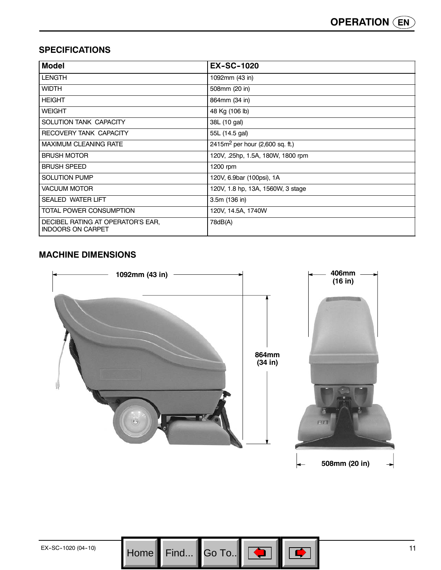## **SPECIFICATIONS**

| <b>Model</b>                                                  | <b>EX-SC-1020</b>                           |
|---------------------------------------------------------------|---------------------------------------------|
| <b>LENGTH</b>                                                 | 1092mm (43 in)                              |
| <b>WIDTH</b>                                                  | 508mm (20 in)                               |
| <b>HEIGHT</b>                                                 | 864mm (34 in)                               |
| <b>WEIGHT</b>                                                 | 48 Kg (106 lb)                              |
| SOLUTION TANK CAPACITY                                        | 38L (10 gal)                                |
| RECOVERY TANK CAPACITY                                        | 55L (14.5 gal)                              |
| <b>MAXIMUM CLEANING RATE</b>                                  | 2415m <sup>2</sup> per hour (2,600 sq. ft.) |
| <b>BRUSH MOTOR</b>                                            | 120V, .25hp, 1.5A, 180W, 1800 rpm           |
| <b>BRUSH SPEED</b>                                            | 1200 rpm                                    |
| <b>SOLUTION PUMP</b>                                          | 120V, 6.9bar (100psi), 1A                   |
| <b>VACUUM MOTOR</b>                                           | 120V, 1.8 hp, 13A, 1560W, 3 stage           |
| <b>SEALED WATER LIFT</b>                                      | 3.5m (136 in)                               |
| TOTAL POWER CONSUMPTION                                       | 120V, 14.5A, 1740W                          |
| DECIBEL RATING AT OPERATOR'S EAR,<br><b>INDOORS ON CARPET</b> | 78dB(A)                                     |

## **MACHINE DIMENSIONS**

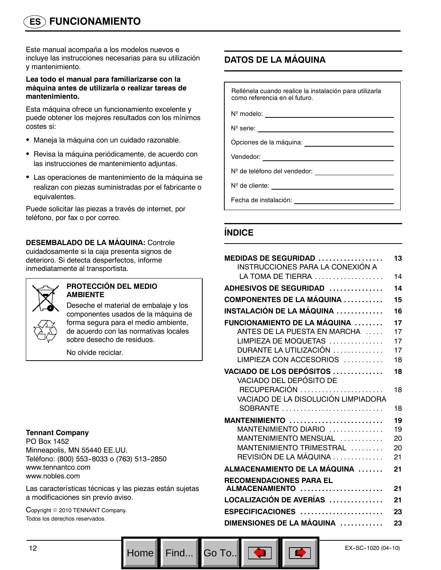# **ES FUNCIONAMIENTO**

Este manual acompaña a los modelos nuevos e incluye las instrucciones necesarias para su utilización y mantenimiento.

#### **Lea todo el manual para familiarizarse con la máquina antes de utilizarla o realizar tareas de mantenimiento.**

Esta máquina ofrece un funcionamiento excelente y puede obtener los mejores resultados con los mínimos costes si:

- Maneja la máquina con un cuidado razonable.
- Revisa la máquina periódicamente, de acuerdo con las instrucciones de mantenimiento adjuntas.
- Las operaciones de mantenimiento de la máquina se realizan con piezas suministradas por el fabricante o equivalentes.

Puede solicitar las piezas a través de internet, por teléfono, por fax o por correo.

## **DESEMBALADO DE LA MÁQUINA:** Controle

cuidadosamente si la caja presenta signos de deterioro. Si detecta desperfectos, informe inmediatamente al transportista.



#### **PROTECCIÓN DEL MEDIO AMBIENTE**

Deseche el material de embalaje y los componentes usados de la máquina de forma segura para el medio ambiente, de acuerdo con las normativas locales sobre desecho de residuos.

No olvide reciclar.

#### **Tennant Company**

PO Box 1452 Minneapolis, MN 55440 EE.UU. Teléfono: (800) 553-8033 o (763) 513-2850 www.tennantco.com www.nobles.com

Las características técnicas y las piezas están sujetas a modificaciones sin previo aviso.

Copyright © 2010 TENNANT Company. Todos los derechos reservados.

## **DATOS DE LA MÁQUINA**

Rellénela cuando realice la instalación para utilizarla como referencia en el futuro.

Nº modelo:

N<sup>o</sup> serie: \_\_\_

Opciones de la máquina:

Vendedor:

N<sup>o</sup> de teléfono del vendedor:<br>
<u>
and the subset of the subset of the subset of the subset of the subset of the subset of the subset of the subs</u>

N<sup>o</sup> de cliente: <u>with a series of the contract of the series of the series of the series of the series of the series of the series of the series of the series of the series of the series of the series of the series of the</u>

Fecha de instalación:

## **ÍNDICE**

| <b>MEDIDAS DE SEGURIDAD </b><br>INSTRUCCIONES PARA LA CONEXIÓN A | 13 |
|------------------------------------------------------------------|----|
| LA TOMA DE TIERRA                                                | 14 |
| ADHESIVOS DE SEGURIDAD                                           | 14 |
| <b>COMPONENTES DE LA MÁQUINA </b>                                | 15 |
| INSTALACIÓN DE LA MÁQUINA                                        | 16 |
| FUNCIONAMIENTO DE LA MÁQUINA                                     | 17 |
| ANTES DE LA PUESTA EN MARCHA                                     | 17 |
| LIMPIEZA DE MOQUETAS                                             | 17 |
| DURANTE LA UTILIZACIÓN                                           | 17 |
| LIMPIEZA CON ACCESORIOS                                          | 18 |
| VACIADO DE LOS DEPÓSITOS<br>VACIADO DEL DEPÓSITO DE              | 18 |
| RECUPERACIÓN                                                     | 18 |
| VACIADO DE LA DISOLUCIÓN LIMPIADORA                              |    |
| SOBRANTE                                                         | 18 |
| MANTENIMIENTO                                                    | 19 |
| MANTENIMIENTO DIARIO                                             | 19 |
| MANTENIMIENTO MENSUAL                                            | 20 |
| MANTENIMIENTO TRIMESTRAL                                         | 20 |
| REVISIÓN DE LA MÁQUINA                                           | 21 |
| ALMACENAMIENTO DE LA MÁQUINA                                     | 21 |
| <b>RECOMENDACIONES PARA EL</b>                                   |    |
| ALMACENAMIENTO                                                   | 21 |
| LOCALIZACIÓN DE AVERÍAS                                          | 21 |
| ESPECIFICACIONES                                                 | 23 |
| DIMENSIONES DE LA MÁQUINA                                        | 23 |
|                                                                  |    |

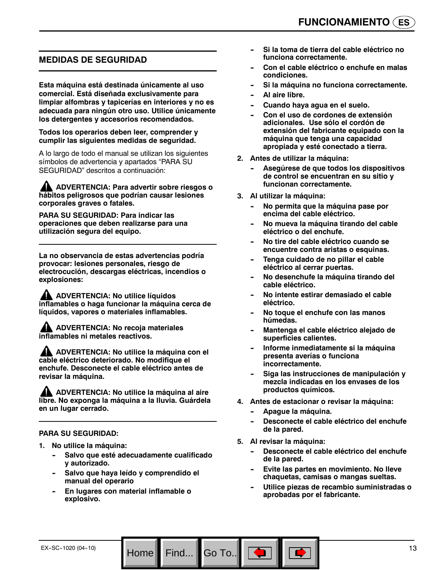## **MEDIDAS DE SEGURIDAD**

**Esta máquina está destinada únicamente al uso comercial. Está diseñada exclusivamente para limpiar alfombras y tapicerías en interiores y no es adecuada para ningún otro uso. Utilice únicamente los detergentes y accesorios recomendados.**

**Todos los operarios deben leer, comprender y cumplir las siguientes medidas de seguridad.**

A lo largo de todo el manual se utilizan los siguientes símbolos de advertencia y apartados "PARA SU SEGURIDAD" descritos a continuación:

**ADVERTENCIA: Para advertir sobre riesgos o hábitos peligrosos que podrían causar lesiones corporales graves o fatales.**

**PARA SU SEGURIDAD: Para indicar las operaciones que deben realizarse para una utilización segura del equipo.**

**La no observancia de estas advertencias podría provocar: lesiones personales, riesgo de electrocución, descargas eléctricas, incendios o explosiones:**

**AN** ADVERTENCIA: No utilice líquidos **inflamables o haga funcionar la máquina cerca de líquidos, vapores o materiales inflamables.**

**ADVERTENCIA: No recoja materiales inflamables ni metales reactivos.**

**ADVERTENCIA: No utilice la máquina con el cable eléctrico deteriorado. No modifique el enchufe. Desconecte el cable eléctrico antes de revisar la máquina.**

**ADVERTENCIA: No utilice la máquina al aire libre. No exponga la máquina a la lluvia. Guárdela en un lugar cerrado.**

#### **PARA SU SEGURIDAD:**

- **1. No utilice la máquina:**
	- Salvo que esté adecuadamente cualificado **y autorizado.**
	- Salvo que haya leído y comprendido el **manual del operario**
	- **En lugares con material inflamable o explosivo.**
- **-- Si la toma de tierra del cable eléctrico no funciona correctamente.**
- Con el cable eléctrico o enchufe en malas **condiciones.**
- $Si$  la máquina no funciona correctamente.
- **Al aire libre.**
- Cuando haya agua en el suelo.
- Con el uso de cordones de extensión **adicionales. Use sólo el cordón de extensión del fabricante equipado con la máquina que tenga una capacidad apropiada y esté conectado a tierra.**
- **2. Antes de utilizar la máquina:**
	- Asegúrese de que todos los dispositivos **de control se encuentran en su sitio y funcionan correctamente.**
- **3. Al utilizar la máquina:**
	- **No permita que la máquina pase por encima del cable eléctrico.**
	- No mueva la máquina tirando del cable **eléctrico o del enchufe.**
	- No tire del cable eléctrico cuando se **encuentre contra aristas o esquinas.**
	- Tenga cuidado de no pillar el cable **eléctrico al cerrar puertas.**
	- **No desenchufe la máquina tirando del cable eléctrico.**
	- No intente estirar demasiado el cable **eléctrico.**
	- No toque el enchufe con las manos **húmedas.**
	- Mantenga el cable eléctrico alejado de **superficies calientes.**
	- **Informe inmediatamente si la máquina presenta averías o funciona incorrectamente.**
	- Siga las instrucciones de manipulación y **mezcla indicadas en los envases de los productos químicos.**
- **4. Antes de estacionar o revisar la máquina:**
	- Apague la máquina.
	- Desconecte el cable eléctrico del enchufe **de la pared.**
- **5. Al revisar la máquina:**

Go To.. $\parallel$ 

- Desconecte el cable eléctrico del enchufe **de la pared.**
- **Evite las partes en movimiento. No lleve chaquetas, camisas o mangas sueltas.**
- **-- Utilice piezas de recambio suministradas o aprobadas por el fabricante.**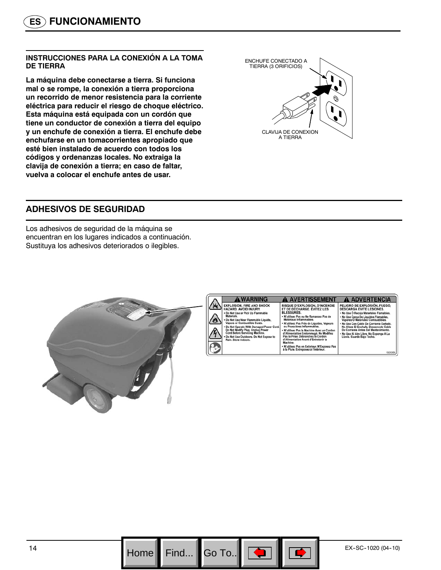#### **INSTRUCCIONES PARA LA CONEXIÓN A LA TOMA DE TIERRA**

**La máquina debe conectarse a tierra. Si funciona mal o se rompe, la conexión a tierra proporciona un recorrido de menor resistencia para la corriente eléctrica para reducir el riesgo de choque eléctrico. Esta máquina está equipada con un cordón que tiene un conductor de conexión a tierra del equipo y un enchufe de conexión a tierra. El enchufe debe enchufarse en un tomacorrientes apropiado que esté bien instalado de acuerdo con todos los códigos y ordenanzas locales. No extraiga la clavija de conexión a tierra; en caso de faltar, vuelva a colocar el enchufe antes de usar.**



## **ADHESIVOS DE SEGURIDAD**

Los adhesivos de seguridad de la máquina se encuentran en los lugares indicados a continuación. Sustituya los adhesivos deteriorados o ilegibles.





EXPLOSION, FIRE AND SHOCK<br>HAZARD. AVOID INJURY. ..<br>amahla Materials.<br>Do Not Use Near Flammable Liquids,<br>Vapors or Combustible Dusts. Not Operate With Damaged Power<br>Not Modify Plug. Unplug Power<br>rd Before Servicing Machine. Do Not Use Outdoors. Do Not Expos

#### **A AVERTISSEMENT** RISQUE D'EXPLOSION, D'INCENDIE<br>ET DE DÉCHARGE. ÉVITEZ LES<br>BLESSURES. BLESSURES.<br>• N'utilisez Pas ou Ne Ramassez Pas de<br>• M'utilisez Pas Près de Liquides, Vapeurs<br>• N'utilisez Pas Près de Liquides, Vapeurs<br>• ou Poussières Inflammables. ou Pousseres immanueses.<br>● N'utilisez Pas la Machine Avec un Cordo<br>d'Alimentation Endommagé. Ne Modifiez<br>Pas la Prise. Débranchez le Cordon<br>d'Alimentation Avant d'Entretenir la<br>Machine achine \* N'utilisez Pas en Extérieur. N'Exposez Pas<br>à la Pluie. Entreposez à l'Intérieur.

**A ADVERTENCIA** PELIGRO DE EXPLOSIÓN, FUEGO,<br>DESCARGA EVITE LESIONES. DESCARGA EVITE LESIONES.<br>• No Use Ó Recoja Materiales Flamables.<br>• No Use Cerca De Líquidos Flamables.<br>• No Use Cerca De Líquidos Flamables.<br>• No Use Con Cable Do Corriente Dafado.<br>No Altere El Enchufe. Desconecte Cable<br>De .<br>No Use Al Aire Libre. No Exp<br>Lluvia. Guarde Bajo Techo. iga A La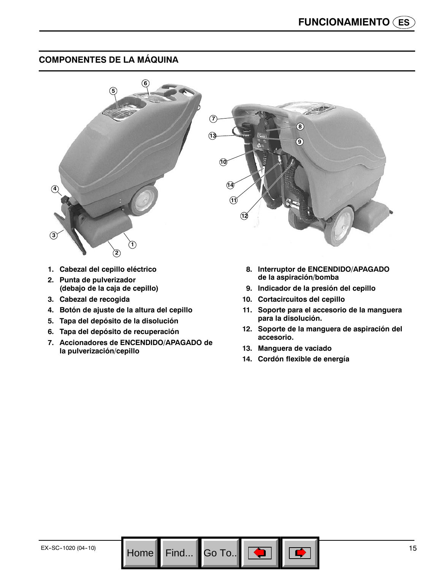## **COMPONENTES DE LA MÁQUINA**



- **1. Cabezal del cepillo eléctrico**
- **2. Punta de pulverizador (debajo de la caja de cepillo)**
- **3. Cabezal de recogida**
- **4. Botón de ajuste de la altura del cepillo**
- **5. Tapa del depósito de la disolución**
- **6. Tapa del depósito de recuperación**
- **7. Accionadores de ENCENDIDO/APAGADO de la pulverización/cepillo**

**8. Interruptor de ENCENDIDO/APAGADO de la aspiración/bomba**

County

- **9. Indicador de la presión del cepillo**
- **10. Cortacircuitos del cepillo**
- **11. Soporte para el accesorio de la manguera para la disolución.**
- **12. Soporte de la manguera de aspiración del accesorio.**
- **13. Manguera de vaciado**

Go To.. $\|$ 

**14. Cordón flexible de energía**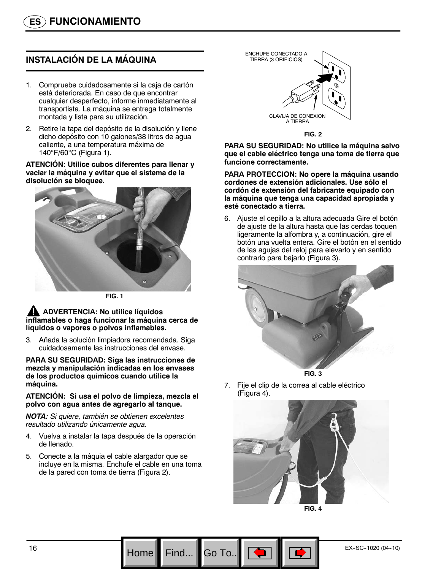## **INSTALACIÓN DE LA MÁQUINA**

- 1. Compruebe cuidadosamente si la caja de cartón está deteriorada. En caso de que encontrar cualquier desperfecto, informe inmediatamente al transportista. La máquina se entrega totalmente montada y lista para su utilización.
- 2. Retire la tapa del depósito de la disolución y llene dicho depósito con 10 galones/38 litros de agua caliente, a una temperatura máxima de 140°F/60°C (Figura 1).

**ATENCIÓN: Utilice cubos diferentes para llenar y vaciar la máquina y evitar que el sistema de la disolución se bloquee.**





#### **ADVERTENCIA: No utilice líquidos inflamables o haga funcionar la máquina cerca de líquidos o vapores o polvos inflamables.**

3. Añada la solución limpiadora recomendada. Siga cuidadosamente las instrucciones del envase.

#### **PARA SU SEGURIDAD: Siga las instrucciones de mezcla y manipulación indicadas en los envases de los productos químicos cuando utilice la máquina.**

#### **ATENCIÓN: Si usa el polvo de limpieza, mezcla el polvo con agua antes de agregarlo al tanque.**

*NOTA: Si quiere, también se obtienen excelentes resultado utilizando únicamente agua.*

- 4. Vuelva a instalar la tapa después de la operación de llenado.
- 5. Conecte a la máquia el cable alargador que se incluye en la misma. Enchufe el cable en una toma de la pared con toma de tierra (Figura 2).



**FIG. 2**

**PARA SU SEGURIDAD: No utilice la máquina salvo que el cable eléctrico tenga una toma de tierra que funcione correctamente.**

**PARA PROTECCION: No opere la máquina usando cordones de extensión adicionales. Use sólo el cordón de extensión del fabricante equipado con la máquina que tenga una capacidad apropiada y esté conectado a tierra.**

6. Ajuste el cepillo a la altura adecuada Gire el botón de ajuste de la altura hasta que las cerdas toquen ligeramente la alfombra y, a continuación, gire el botón una vuelta entera. Gire el botón en el sentido de las agujas del reloj para elevarlo y en sentido contrario para bajarlo (Figura 3).





7. Fije el clip de la correa al cable eléctrico (Figura 4).



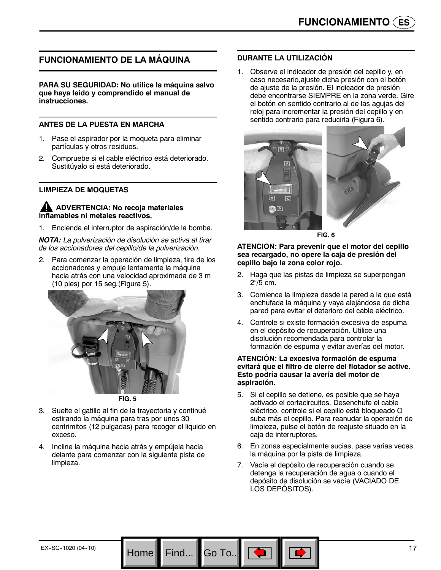## **FUNCIONAMIENTO DE LA MÁQUINA**

**PARA SU SEGURIDAD: No utilice la máquina salvo que haya leído y comprendido el manual de instrucciones.**

#### **ANTES DE LA PUESTA EN MARCHA**

- 1. Pase el aspirador por la moqueta para eliminar partículas y otros residuos.
- 2. Compruebe si el cable eléctrico está deteriorado. Sustitúyalo si está deteriorado.

#### **LIMPIEZA DE MOQUETAS**

#### **ADVERTENCIA: No recoja materiales inflamables ni metales reactivos.**

1. Encienda el interruptor de aspiración/de la bomba.

*NOTA: La pulverización de disolución se activa al tirar de los accionadores del cepillo/de la pulverización.*

2. Para comenzar la operación de limpieza, tire de los accionadores y empuje lentamente la máquina hacia atrás con una velocidad aproximada de 3 m (10 pies) por 15 seg.(Figura 5).





- 3. Suelte el gatillo al fin de la trayectoria y continué estirando la máquina para tras por unos 30 centrimitos (12 pulgadas) para recoger el liquido en exceso.
- 4. Incline la máquina hacia atrás y empújela hacia delante para comenzar con la siguiente pista de limpieza.

#### **DURANTE LA UTILIZACIÓN**

1. Observe el indicador de presión del cepillo y, en caso necesario,ajuste dicha presión con el botón de ajuste de la presión. El indicador de presión debe encontrarse SIEMPRE en la zona verde. Gire el botón en sentido contrario al de las agujas del reloj para incrementar la presión del cepillo y en sentido contrario para reducirla (Figura 6).



**FIG. 6**

#### **ATENCION: Para prevenir que el motor del cepillo sea recargado, no opere la caja de presión del cepillo bajo la zona color rojo.**

- 2. Haga que las pistas de limpieza se superpongan 2"/5 cm.
- 3. Comience la limpieza desde la pared a la que está enchufada la máquina y vaya alejándose de dicha pared para evitar el deterioro del cable eléctrico.
- 4. Controle si existe formación excesiva de espuma en el depósito de recuperación. Utilice una disolución recomendada para controlar la formación de espuma y evitar averías del motor.

#### **ATENCIÓN: La excesiva formación de espuma evitará que el filtro de cierre del flotador se active. Esto podría causar la avería del motor de aspiración.**

- 5. Si el cepillo se detiene, es posible que se haya activado el cortacircuitos. Desenchufe el cable eléctrico, controle si el cepillo está bloqueado O suba más el cepillo. Para reanudar la operación de limpieza, pulse el botón de reajuste situado en la caja de interruptores.
- 6. En zonas especialmente sucias, pase varias veces la máquina por la pista de limpieza.
- 7. Vacíe el depósito de recuperación cuando se detenga la recuperación de agua o cuando el depósito de disolución se vacíe (VACIADO DE LOS DEPÓSITOS).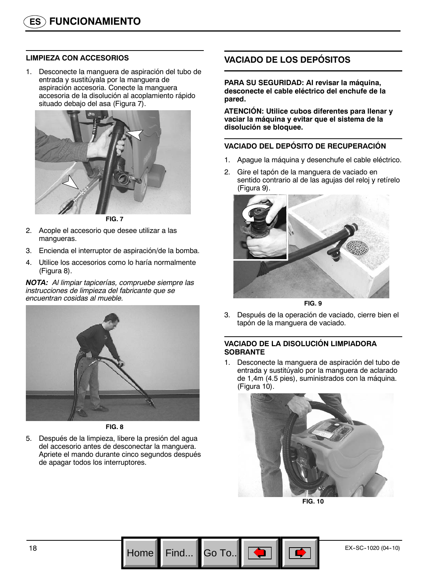#### **LIMPIEZA CON ACCESORIOS**

1. Desconecte la manguera de aspiración del tubo de entrada y sustitúyala por la manguera de aspiración accesoria. Conecte la manguera accesoria de la disolución al acoplamiento rápido situado debajo del asa (Figura 7).

![](_page_17_Picture_3.jpeg)

**FIG. 7**

- 2. Acople el accesorio que desee utilizar a las mangueras.
- 3. Encienda el interruptor de aspiración/de la bomba.
- 4. Utilice los accesorios como lo haría normalmente (Figura 8).

*NOTA: Al limpiar tapicerías, compruebe siempre las instrucciones de limpieza del fabricante que se encuentran cosidas al mueble.*

![](_page_17_Picture_9.jpeg)

**FIG. 8**

5. Después de la limpieza, libere la presión del agua del accesorio antes de desconectar la manguera. Apriete el mando durante cinco segundos después de apagar todos los interruptores.

## **VACIADO DE LOS DEPÓSITOS**

**PARA SU SEGURIDAD: Al revisar la máquina, desconecte el cable eléctrico del enchufe de la pared.**

**ATENCIÓN: Utilice cubos diferentes para llenar y vaciar la máquina y evitar que el sistema de la disolución se bloquee.**

#### **VACIADO DEL DEPÓSITO DE RECUPERACIÓN**

- 1. Apague la máquina y desenchufe el cable eléctrico.
- 2. Gire el tapón de la manguera de vaciado en sentido contrario al de las agujas del reloj y retírelo (Figura 9).

![](_page_17_Picture_18.jpeg)

**FIG. 9**

3. Después de la operación de vaciado, cierre bien el tapón de la manguera de vaciado.

#### **VACIADO DE LA DISOLUCIÓN LIMPIADORA SOBRANTE**

1. Desconecte la manguera de aspiración del tubo de entrada y sustitúyalo por la manguera de aclarado de 1,4m (4.5 pies), suministrados con la máquina. (Figura 10).

![](_page_17_Picture_23.jpeg)

**FIG. 10**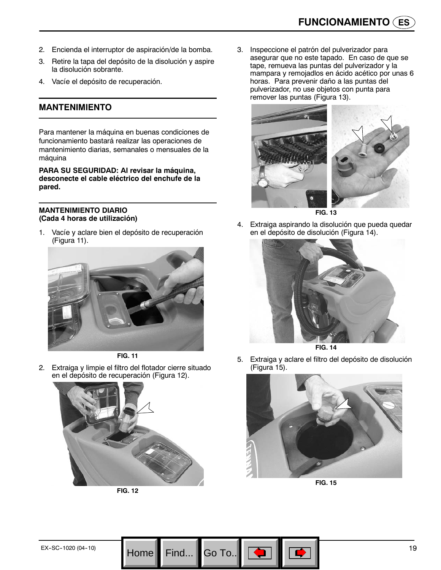- 2. Encienda el interruptor de aspiración/de la bomba.
- 3. Retire la tapa del depósito de la disolución y aspire la disolución sobrante.
- 4. Vacíe el depósito de recuperación.

#### **MANTENIMIENTO**

Para mantener la máquina en buenas condiciones de funcionamiento bastará realizar las operaciones de mantenimiento diarias, semanales o mensuales de la máquina

**PARA SU SEGURIDAD: Al revisar la máquina, desconecte el cable eléctrico del enchufe de la pared.**

#### **MANTENIMIENTO DIARIO (Cada 4 horas de utilización)**

1. Vacíe y aclare bien el depósito de recuperación (Figura 11).

![](_page_18_Picture_9.jpeg)

![](_page_18_Figure_10.jpeg)

2. Extraiga y limpie el filtro del flotador cierre situado en el depósito de recuperación (Figura 12).

![](_page_18_Picture_12.jpeg)

**FIG. 12**

Go To.

3. Inspeccione el patrón del pulverizador para asegurar que no este tapado. En caso de que se tape, remueva las puntas del pulverizador y la mampara y remojadlos en ácido acético por unas 6 horas. Para prevenir daño a las puntas del pulverizador, no use objetos con punta para remover las puntas (Figura 13).

![](_page_18_Picture_15.jpeg)

- **FIG. 13**
- 4. Extraiga aspirando la disolución que pueda quedar en el depósito de disolución (Figura 14).

![](_page_18_Picture_18.jpeg)

**FIG. 14**

5. Extraiga y aclare el filtro del depósito de disolución (Figura 15).

![](_page_18_Picture_21.jpeg)

**FIG. 15**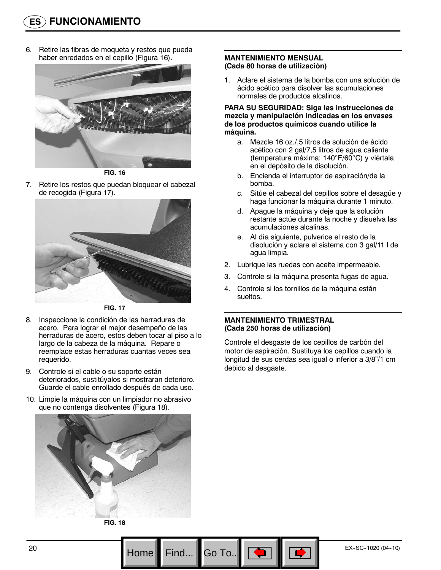6. Retire las fibras de moqueta y restos que pueda haber enredados en el cepillo (Figura 16).

![](_page_19_Picture_2.jpeg)

**FIG. 16**

7. Retire los restos que puedan bloquear el cabezal de recogida (Figura 17).

![](_page_19_Picture_5.jpeg)

**FIG. 17**

- 8. Inspeccione la condición de las herraduras de acero. Para lograr el mejor desempeño de las herraduras de acero, estos deben tocar al piso a lo largo de la cabeza de la máquina. Repare o reemplace estas herraduras cuantas veces sea requerido.
- 9. Controle si el cable o su soporte están deteriorados, sustitúyalos si mostraran deterioro. Guarde el cable enrollado después de cada uso.
- 10. Limpie la máquina con un limpiador no abrasivo que no contenga disolventes (Figura 18).

![](_page_19_Picture_10.jpeg)

**FIG. 18**

#### **MANTENIMIENTO MENSUAL (Cada 80 horas de utilización)**

1. Aclare el sistema de la bomba con una solución de ácido acético para disolver las acumulaciones normales de productos alcalinos.

#### **PARA SU SEGURIDAD: Siga las instrucciones de mezcla y manipulación indicadas en los envases de los productos químicos cuando utilice la máquina.**

- a. Mezcle 16 oz./.5 litros de solución de ácido acético con 2 gal/7,5 litros de agua caliente (temperatura máxima: 140°F/60°C) y viértala en el depósito de la disolución.
- b. Encienda el interruptor de aspiración/de la bomba.
- c. Sitúe el cabezal del cepillos sobre el desagüe y haga funcionar la máquina durante 1 minuto.
- d. Apague la máquina y deje que la solución restante actúe durante la noche y disuelva las acumulaciones alcalinas.
- e. Al día siguiente, pulverice el resto de la disolución y aclare el sistema con 3 gal/11 l de agua limpia.
- 2. Lubrique las ruedas con aceite impermeable.
- 3. Controle si la máquina presenta fugas de agua.
- 4. Controle si los tornillos de la máquina están sueltos.

#### **MANTENIMIENTO TRIMESTRAL (Cada 250 horas de utilización)**

Go To..

Controle el desgaste de los cepillos de carbón del motor de aspiración. Sustituya los cepillos cuando la longitud de sus cerdas sea igual o inferior a 3/8"/1 cm debido al desgaste.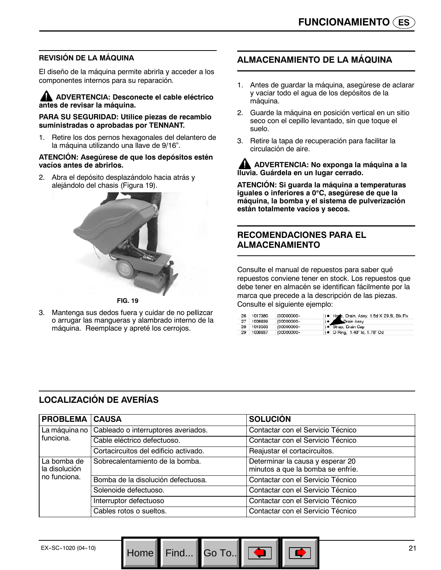## **REVISIÓN DE LA MÁQUINA**

El diseño de la máquina permite abrirla y acceder a los componentes internos para su reparación.

#### **ADVERTENCIA: Desconecte el cable eléctrico antes de revisar la máquina.**

**PARA SU SEGURIDAD: Utilice piezas de recambio suministradas o aprobadas por TENNANT.**

1. Retire los dos pernos hexagonales del delantero de la máquina utilizando una llave de 9/16".

#### **ATENCIÓN: Asegúrese de que los depósitos estén vacíos antes de abrirlos.**

2. Abra el depósito desplazándolo hacia atrás y alejándolo del chasis (Figura 19).

![](_page_20_Picture_8.jpeg)

**FIG. 19**

3. Mantenga sus dedos fuera y cuidar de no pellizcar o arrugar las mangueras y alambrado interno de la máquina. Reemplace y apreté los cerrojos.

## **ALMACENAMIENTO DE LA MÁQUINA**

- 1. Antes de guardar la máquina, asegúrese de aclarar y vaciar todo el agua de los depósitos de la máquina.
- 2. Guarde la máquina en posición vertical en un sitio seco con el cepillo levantado, sin que toque el suelo.
- 3. Retire la tapa de recuperación para facilitar la circulación de aire.

**ADVERTENCIA: No exponga la máquina a la lluvia. Guárdela en un lugar cerrado.**

**ATENCIÓN: Si guarda la máquina a temperaturas iguales o inferiores a 0**°**C, asegúrese de que la máquina, la bomba y el sistema de pulverización están totalmente vacíos y secos.**

## **RECOMENDACIONES PARA EL ALMACENAMIENTO**

Consulte el manual de repuestos para saber qué repuestos conviene tener en stock. Los repuestos que debe tener en almacén se identifican fácilmente por la marca que precede a la descripción de las piezas. Consulte el siguiente ejemplo:

|    | 26 1017380 | (00000000- | ) . Hose, Drain, Assy, 1.5d X 29.5l, Blk, Flx |
|----|------------|------------|-----------------------------------------------|
| 27 | 1008639    | (00000000- | <b>C</b> Drain Assy                           |
|    | 28 1019563 | (00000000- | ) · Strap, Drain Cap                          |
| 29 | 1008637    | (00000000- | ) • O Ring, 1.48" ld, 1.76" Od                |

## **LOCALIZACIÓN DE AVERÍAS**

| <b>PROBLEMA CAUSA</b>                        |                                       | <b>SOLUCIÓN</b>                                                       |
|----------------------------------------------|---------------------------------------|-----------------------------------------------------------------------|
| La máquina no                                | Cableado o interruptores averiados.   | Contactar con el Servicio Técnico                                     |
| funciona.                                    | Cable eléctrico defectuoso.           | Contactar con el Servicio Técnico                                     |
|                                              | Cortacircuitos del edificio activado. | Reajustar el cortacircuitos.                                          |
| La bomba de<br>la disolución<br>no funciona. | Sobrecalentamiento de la bomba.       | Determinar la causa y esperar 20<br>minutos a que la bomba se enfríe. |
|                                              | Bomba de la disolución defectuosa.    | Contactar con el Servicio Técnico                                     |
|                                              | Solenoide defectuoso.                 | Contactar con el Servicio Técnico                                     |
|                                              | Interruptor defectuoso                | Contactar con el Servicio Técnico                                     |
|                                              | Cables rotos o sueltos.               | Contactar con el Servicio Técnico                                     |

Find...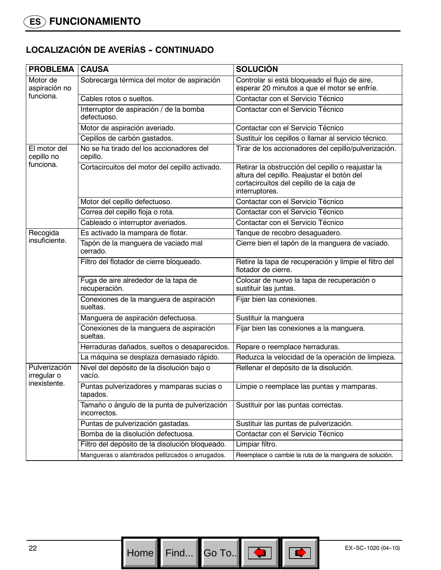# **LOCALIZACIÓN DE AVERÍAS - CONTINUADO**

| <b>PROBLEMA</b>                              | <b>CAUSA</b>                                                 | <b>SOLUCIÓN</b>                                                                                                                                               |
|----------------------------------------------|--------------------------------------------------------------|---------------------------------------------------------------------------------------------------------------------------------------------------------------|
| Motor de<br>aspiración no                    | Sobrecarga térmica del motor de aspiración                   | Controlar si está bloqueado el flujo de aire,<br>esperar 20 minutos a que el motor se enfríe.                                                                 |
| funciona.                                    | Cables rotos o sueltos.                                      | Contactar con el Servicio Técnico                                                                                                                             |
|                                              | Interruptor de aspiración / de la bomba<br>defectuoso.       | Contactar con el Servicio Técnico                                                                                                                             |
|                                              | Motor de aspiración averiado.                                | Contactar con el Servicio Técnico                                                                                                                             |
|                                              | Cepillos de carbón gastados.                                 | Sustituir los cepillos o llamar al servicio técnico.                                                                                                          |
| El motor del<br>cepillo no                   | No se ha tirado del los accionadores del<br>cepillo.         | Tirar de los accionadores del cepillo/pulverización.                                                                                                          |
| funciona.                                    | Cortacircuitos del motor del cepillo activado.               | Retirar la obstrucción del cepillo o reajustar la<br>altura del cepillo. Reajustar el botón del<br>cortacircuitos del cepillo de la caja de<br>interruptores. |
|                                              | Motor del cepillo defectuoso.                                | Contactar con el Servicio Técnico                                                                                                                             |
|                                              | Correa del cepillo floja o rota.                             | Contactar con el Servicio Técnico                                                                                                                             |
|                                              | Cableado o interruptor averiados.                            | Contactar con el Servicio Técnico                                                                                                                             |
| Recogida                                     | Es activado la mampara de flotar.                            | Tanque de recobro desaguadero.                                                                                                                                |
| insuficiente.                                | Tapón de la manguera de vaciado mal<br>cerrado.              | Cierre bien el tapón de la manguera de vaciado.                                                                                                               |
|                                              | Filtro del flotador de cierre bloqueado.                     | Retire la tapa de recuperación y limpie el filtro del<br>flotador de cierre.                                                                                  |
|                                              | Fuga de aire alrededor de la tapa de<br>recuperación.        | Colocar de nuevo la tapa de recuperación o<br>sustituir las juntas.                                                                                           |
|                                              | Conexiones de la manguera de aspiración<br>sueltas.          | Fijar bien las conexiones.                                                                                                                                    |
|                                              | Manguera de aspiración defectuosa.                           | Sustituir la manguera                                                                                                                                         |
|                                              | Conexiones de la manguera de aspiración<br>sueltas.          | Fijar bien las conexiones a la manguera.                                                                                                                      |
|                                              | Herraduras dañados, sueltos o desaparecidos.                 | Repare o reemplace herraduras.                                                                                                                                |
|                                              | La máquina se desplaza demasiado rápido.                     | Reduzca la velocidad de la operación de limpieza.                                                                                                             |
| Pulverización<br>irregular o<br>inexistente. | Nivel del depósito de la disolución bajo o<br>vacío.         | Rellenar el depósito de la disolución.                                                                                                                        |
|                                              | Puntas pulverizadores y mamparas sucias o<br>tapados.        | Limpie o reemplace las puntas y mamparas.                                                                                                                     |
|                                              | Tamaño o ángulo de la punta de pulverización<br>incorrectos. | Sustituir por las puntas correctas.                                                                                                                           |
|                                              | Puntas de pulverización gastadas.                            | Sustituir las puntas de pulverización.                                                                                                                        |
|                                              | Bomba de la disolución defectuosa.                           | Contactar con el Servicio Técnico                                                                                                                             |
|                                              | Filtro del depósito de la disolución bloqueado.              | Limpiar filtro.                                                                                                                                               |
|                                              | Mangueras o alambrados pellizcados o arrugados.              | Reemplace o cambie la ruta de la manguera de solución.                                                                                                        |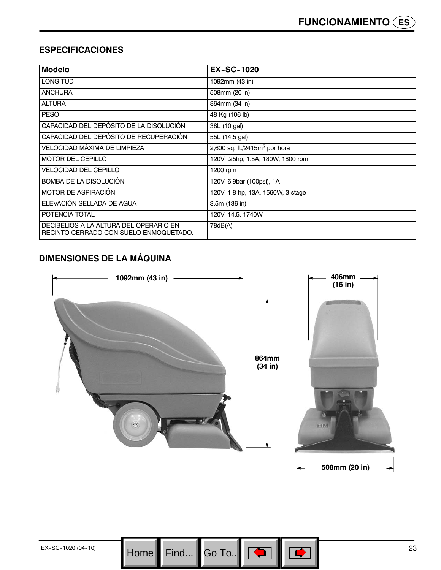## **ESPECIFICACIONES**

| <b>Modelo</b>                                                                    | <b>EX-SC-1020</b>                 |
|----------------------------------------------------------------------------------|-----------------------------------|
| <b>LONGITUD</b>                                                                  | 1092mm (43 in)                    |
| <b>ANCHURA</b>                                                                   | 508mm (20 in)                     |
| <b>ALTURA</b>                                                                    | 864mm (34 in)                     |
| <b>PESO</b>                                                                      | 48 Kg (106 lb)                    |
| CAPACIDAD DEL DEPÓSITO DE LA DISOLUCIÓN.                                         | 38L (10 gal)                      |
| CAPACIDAD DEL DEPÓSITO DE RECUPERACIÓN                                           | 55L (14.5 gal)                    |
| VELOCIDAD MAXIMA DE LIMPIEZA                                                     | 2,600 sq. ft./2415 $m2$ por hora  |
| <b>MOTOR DEL CEPILLO</b>                                                         | 120V, .25hp, 1.5A, 180W, 1800 rpm |
| VELOCIDAD DEL CEPILLO                                                            | 1200 rpm                          |
| BOMBA DE LA DISOLUCIÓN                                                           | 120V, 6.9bar (100psi), 1A         |
| MOTOR DE ASPIRACIÓN                                                              | 120V, 1.8 hp, 13A, 1560W, 3 stage |
| ELEVACIÓN SELLADA DE AGUA                                                        | 3.5m (136 in)                     |
| POTENCIA TOTAL                                                                   | 120V, 14.5, 1740W                 |
| DECIBELIOS A LA ALTURA DEL OPERARIO EN<br>RECINTO CERRADO CON SUELO ENMOQUETADO. | 78dB(A)                           |

## **DIMENSIONES DE LA MÁQUINA**

![](_page_22_Figure_4.jpeg)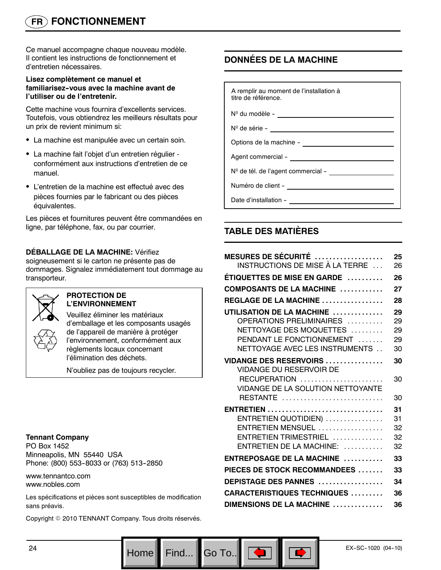# **FR FONCTIONNEMENT**

Ce manuel accompagne chaque nouveau modèle. Il contient les instructions de fonctionnement et d'entretien nécessaires.

#### **Lisez complètement ce manuel et familiarisez--vous avec la machine avant de l'utiliser ou de l'entretenir.**

Cette machine vous fournira d'excellents services. Toutefois, vous obtiendrez les meilleurs résultats pour un prix de revient minimum si:

- La machine est manipulée avec un certain soin.
- La machine fait l'objet d'un entretien régulier conformément aux instructions d'entretien de ce manuel.
- L'entretien de la machine est effectué avec des pièces fournies par le fabricant ou des pièces équivalentes.

Les pièces et fournitures peuvent être commandées en ligne, par téléphone, fax, ou par courrier.

#### **DÉBALLAGE DE LA MACHINE:** Vérifiez

soigneusement si le carton ne présente pas de dommages. Signalez immédiatement tout dommage au transporteur.

![](_page_23_Picture_10.jpeg)

#### **PROTECTION DE L'ENVIRONNEMENT**

Veuillez éliminer les matériaux d'emballage et les composants usagés de l'appareil de manière à protéger l'environnement, conformément aux règlements locaux concernant l'élimination des déchets.

N'oubliez pas de toujours recycler.

#### **Tennant Company**

PO Box 1452 Minneapolis, MN 55440 USA Phone: (800) 553-8033 or (763) 513-2850

www.tennantco.com www.nobles.com

Les spécifications et pièces sont susceptibles de modification sans préavis.

Copyright © 2010 TENNANT Company. Tous droits réservés.

## **DONNÉES DE LA MACHINE**

A remplir au moment de l'installation à titre de référence. Nº du modèle --

Nº de série -

Options de la machine -

Agent commercial - \_\_

N<sup>o</sup> de tél. de l'agent commercial -

Numéro de client --

Go To.. $\blacksquare$ 

Date d'installation -

## **TABLE DES MATIÈRES**

| <b>MESURES DE SÉCURITÉ</b>                                 | 25 |
|------------------------------------------------------------|----|
| INSTRUCTIONS DE MISE À LA TERRE ...                        | 26 |
| ÉTIQUETTES DE MISE EN GARDE                                | 26 |
| COMPOSANTS DE LA MACHINE                                   | 27 |
| REGLAGE DE LA MACHINE $\ldots \ldots \ldots \ldots \ldots$ | 28 |
| UTILISATION DE LA MACHINE                                  | 29 |
| OPERATIONS PRELIMINAIRES                                   | 29 |
| NETTOYAGE DES MOQUETTES                                    | 29 |
| PENDANT LE FONCTIONNEMENT                                  | 29 |
| NETTOYAGE AVEC LES INSTRUMENTS                             | 30 |
| <b>VIDANGE DES RESERVOIRS </b><br>VIDANGE DU RESERVOIR DE  | 30 |
| RECUPERATION<br>VIDANGE DE LA SOLUTION NETTOYANTE          | 30 |
| RESTANTE                                                   | 30 |
|                                                            | 31 |
| ENTRETIEN QUOTIDIEN)                                       | 31 |
| ENTRETIEN MENSUEL                                          | 32 |
| ENTRETIEN TRIMESTRIEL                                      | 32 |
| $ENTRETIEN DE LA MACHINE:$                                 | 32 |
| ENTREPOSAGE DE LA MACHINE                                  | 33 |
| PIECES DE STOCK RECOMMANDEES                               | 33 |
| DEPISTAGE DES PANNES                                       | 34 |
| <b>CARACTERISTIQUES TECHNIQUES </b>                        | 36 |
| DIMENSIONS DE LA MACHINE                                   | 36 |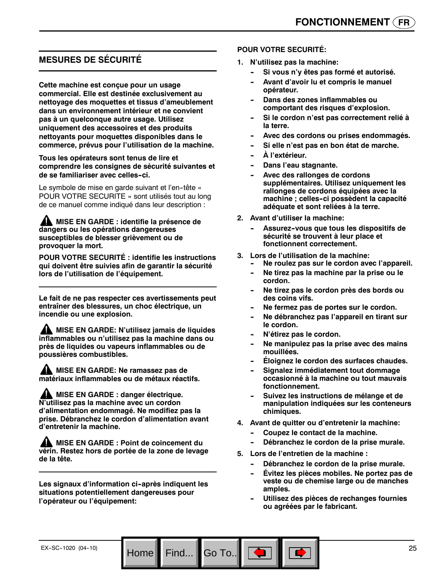## **MESURES DE SÉCURITÉ**

**Cette machine est conçue pour un usage commercial. Elle est destinée exclusivement au nettoyage des moquettes et tissus d'ameublement dans un environnement intérieur et ne convient pas à un quelconque autre usage. Utilisez uniquement des accessoires et des produits nettoyants pour moquettes disponibles dans le commerce, prévus pour l'utilisation de la machine.**

#### **Tous les opérateurs sont tenus de lire et comprendre les consignes de sécurité suivantes et de se familiariser avec celles--ci.**

Le symbole de mise en garde suivant et l'en-tête « POUR VOTRE SECURITE » sont utilisés tout au long de ce manuel comme indiqué dans leur description :

**A MISE EN GARDE : identifie la présence de dangers ou les opérations dangereuses susceptibles de blesser grièvement ou de provoquer la mort.**

**POUR VOTRE SECURITÉ : identifie les instructions qui doivent être suivies afin de garantir la sécurité lors de l'utilisation de l'équipement.**

**Le fait de ne pas respecter ces avertissements peut entraîner des blessures, un choc électrique, un incendie ou une explosion.**

**MISE EN GARDE: N'utilisez jamais de liquides inflammables ou n'utilisez pas la machine dans ou près de liquides ou vapeurs inflammables ou de poussières combustibles.**

**MISE EN GARDE: Ne ramassez pas de matériaux inflammables ou de métaux réactifs.**

**AL MISE EN GARDE : danger électrique. N'utilisez pas la machine avec un cordon d'alimentation endommagé. Ne modifiez pas la prise. Débranchez le cordon d'alimentation avant d'entretenir la machine.**

**MISE EN GARDE : Point de coincement du vérin. Restez hors de portée de la zone de levage de la tête.**

Les signaux d'information ci-après indiquent les **situations potentiellement dangereuses pour l'opérateur ou l'équipement:**

#### **POUR VOTRE SECURITÉ:**

- **1. N'utilisez pas la machine:**
	- Si vous n'y êtes pas formé et autorisé.
	- Avant d'avoir lu et compris le manuel **opérateur.**
	- **Dans des zones inflammables ou comportant des risques d'explosion.**
	- Si le cordon n'est pas correctement relié à **la terre.**
	- Avec des cordons ou prises endommagés.
	- Si elle n'est pas en bon état de marche.
	- $\mathbf{\hat{A}}$  l'extérieur.
	- **Dans l'eau stagnante.**
	- Avec des rallonges de cordons **supplémentaires. Utilisez uniquement les rallonges de cordons équipées avec la machine ; celles--ci possèdent la capacité adéquate et sont reliées à la terre.**
- **2. Avant d'utiliser la machine:**
	- Assurez-vous que tous les dispositifs de **sécurité se trouvent à leur place et fonctionnent correctement.**
- **3. Lors de l'utilisation de la machine:**
	- Ne roulez pas sur le cordon avec l'appareil.
	- Ne tirez pas la machine par la prise ou le **cordon.**
	- Ne tirez pas le cordon près des bords ou **des coins vifs.**
	- Ne fermez pas de portes sur le cordon.
	- **-- Ne débranchez pas l'appareil en tirant sur le cordon.**
	- $N'$ étirez pas le cordon.
	- Ne manipulez pas la prise avec des mains **mouillées.**
	- **Éloignez le cordon des surfaces chaudes.**
	- **Signalez immédiatement tout dommage occasionné à la machine ou tout mauvais fonctionnement.**
	- Suivez les instructions de mélange et de **manipulation indiquées sur les conteneurs chimiques.**
- **4. Avant de quitter ou d'entretenir la machine:**
	- Coupez le contact de la machine.
	- Débranchez le cordon de la prise murale.
- **5. Lors de l'entretien de la machine :**

Go To.. $\parallel$ 

- Débranchez le cordon de la prise murale.
- **Évitez les pièces mobiles. Ne portez pas de veste ou de chemise large ou de manches amples.**
- **-- Utilisez des pièces de rechanges fournies ou agréées par le fabricant.**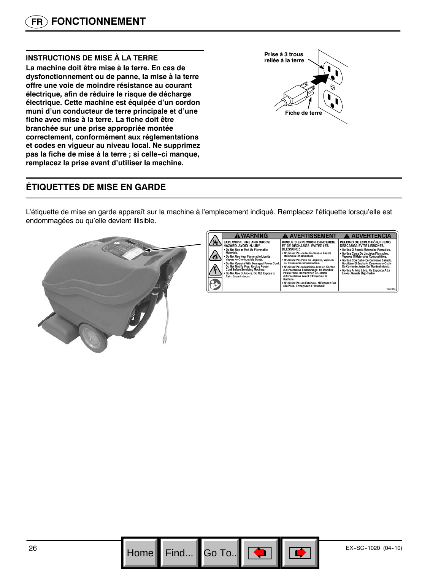#### **INSTRUCTIONS DE MISE À LA TERRE**

**La machine doit être mise à la terre. En cas de dysfonctionnement ou de panne, la mise à la terre offre une voie de moindre résistance au courant électrique, afin de réduire le risque de décharge électrique. Cette machine est équipée d'un cordon muni d'un conducteur de terre principale et d'une fiche avec mise à la terre. La fiche doit être branchée sur une prise appropriée montée correctement, conformément aux réglementations et codes en vigueur au niveau local. Ne supprimez pas la fiche de mise à la terre ; si celle--ci manque, remplacez la prise avant d'utiliser la machine.**

# **Fiche de terre Prise à 3 trous reliée à la terre**

## **ÉTIQUETTES DE MISE EN GARDE**

L'étiquette de mise en garde apparaît sur la machine à l'emplacement indiqué. Remplacez l'étiquette lorsqu'elle est endommagées ou qu'elle devient illisible.

![](_page_25_Picture_6.jpeg)

![](_page_25_Picture_9.jpeg)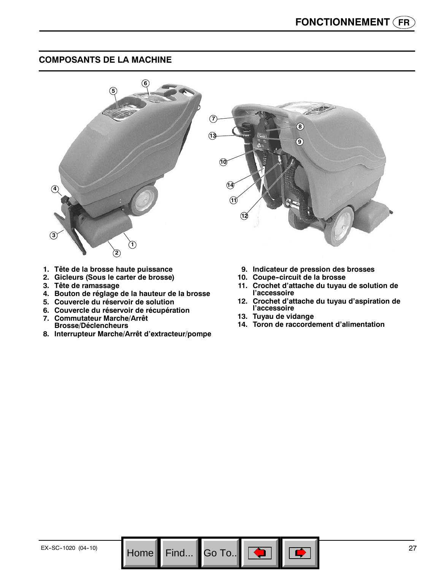## **COMPOSANTS DE LA MACHINE**

![](_page_26_Picture_2.jpeg)

Go To.. $\|$ 

- **1. Tête de la brosse haute puissance**
- **2. Gicleurs (Sous le carter de brosse)**
- **3. Tête de ramassage**
- **4. Bouton de réglage de la hauteur de la brosse**
- **5. Couvercle du réservoir de solution**
- **6. Couvercle du réservoir de récupération**
- **7. Commutateur Marche/Arrêt Brosse/Déclencheurs**
- **8. Interrupteur Marche/Arrêt d'extracteur/pompe**
- **9. Indicateur de pression des brosses**
- 10. Coupe-circuit de la brosse
- **11. Crochet d'attache du tuyau de solution de l'accessoire**
- **12. Crochet d'attache du tuyau d'aspiration de l'accessoire**
- **13. Tuyau de vidange**
- **14. Toron de raccordement d'alimentation**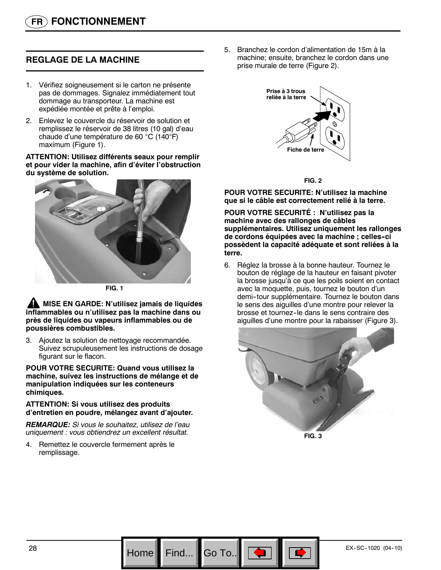## **REGLAGE DE LA MACHINE**

- 1. Vérifiez soigneusement si le carton ne présente pas de dommages. Signalez immédiatement tout dommage au transporteur. La machine est expédiée montée et prête à l'emploi.
- 2. Enlevez le couvercle du réservoir de solution et remplissez le réservoir de 38 litres (10 gal) d'eau chaude d'une température de 60 °C (140°F) maximum (Figure 1).

**ATTENTION: Utilisez différents seaux pour remplir et pour vider la machine, afin d'éviter l'obstruction du système de solution.**

![](_page_27_Picture_5.jpeg)

**FIG. 1**

**MISE EN GARDE: N'utilisez jamais de liquides inflammables ou n'utilisez pas la machine dans ou près de liquides ou vapeurs inflammables ou de poussières combustibles.**

3. Ajoutez la solution de nettoyage recommandée. Suivez scrupuleusement les instructions de dosage figurant sur le flacon.

**POUR VOTRE SECURITE: Quand vous utilisez la machine, suivez les instructions de mélange et de manipulation indiquées sur les conteneurs chimiques.**

#### **ATTENTION: Si vous utilisez des produits d'entretien en poudre, mélangez avant d'ajouter.**

*REMARQUE: Si vous le souhaitez, utilisez de l'eau uniquement : vous obtiendrez un excellent résultat.*

4. Remettez le couvercle fermement après le remplissage.

5. Branchez le cordon d'alimentation de 15m à la machine; ensuite, branchez le cordon dans une prise murale de terre (Figure 2).

![](_page_27_Picture_14.jpeg)

**FIG. 2**

**POUR VOTRE SECURITE: N'utilisez la machine que si le câble est correctement relié à la terre.**

**POUR VOTRE SECURITÉ : N'utilisez pas la machine avec des rallonges de câbles supplémentaires. Utilisez uniquement les rallonges de cordons équipées avec la machine ; celles--ci possèdent la capacité adéquate et sont reliées à la terre.**

6. Réglez la brosse à la bonne hauteur. Tournez le bouton de réglage de la hauteur en faisant pivoter la brosse jusqu'à ce que les poils soient en contact avec la moquette, puis, tournez le bouton d'un demi-tour supplémentaire. Tournez le bouton dans le sens des aiguilles d'une montre pour relever la brosse et tournez-le dans le sens contraire des aiguilles d'une montre pour la rabaisser (Figure 3).

![](_page_27_Picture_19.jpeg)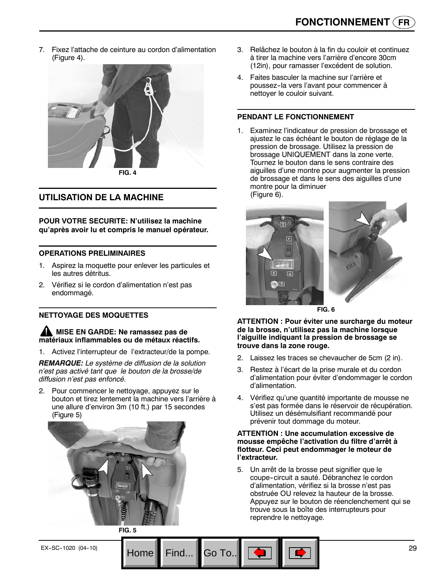7. Fixez l'attache de ceinture au cordon d'alimentation (Figure 4).

![](_page_28_Picture_2.jpeg)

## **UTILISATION DE LA MACHINE**

**POUR VOTRE SECURITE: N'utilisez la machine qu'après avoir lu et compris le manuel opérateur.**

#### **OPERATIONS PRELIMINAIRES**

- 1. Aspirez la moquette pour enlever les particules et les autres détritus.
- 2. Vérifiez si le cordon d'alimentation n'est pas endommagé.

#### **NETTOYAGE DES MOQUETTES**

#### **MISE EN GARDE: Ne ramassez pas de matériaux inflammables ou de métaux réactifs.**

1. Activez l'interrupteur de l'extracteur/de la pompe.

*REMARQUE: Le système de diffusion de la solution n'est pas activé tant que le bouton de la brosse/de diffusion n'est pas enfoncé.*

2. Pour commencer le nettoyage, appuyez sur le bouton et tirez lentement la machine vers l'arrière à une allure d'environ 3m (10 ft.) par 15 secondes (Figure 5)

![](_page_28_Picture_13.jpeg)

- 3. Relâchez le bouton à la fin du couloir et continuez à tirer la machine vers l'arrière d'encore 30cm (12in), pour ramasser l'excédent de solution.
- 4. Faites basculer la machine sur l'arrière et poussez--la vers l'avant pour commencer à nettoyer le couloir suivant.

#### **PENDANT LE FONCTIONNEMENT**

1. Examinez l'indicateur de pression de brossage et ajustez le cas échéant le bouton de réglage de la pression de brossage. Utilisez la pression de brossage UNIQUEMENT dans la zone verte. Tournez le bouton dans le sens contraire des aiguilles d'une montre pour augmenter la pression de brossage et dans le sens des aiguilles d'une montre pour la diminuer (Figure 6).

![](_page_28_Picture_18.jpeg)

**FIG. 6**

**ATTENTION : Pour éviter une surcharge du moteur de la brosse, n'utilisez pas la machine lorsque l'aiguille indiquant la pression de brossage se trouve dans la zone rouge.**

- 2. Laissez les traces se chevaucher de 5cm (2 in).
- 3. Restez à l'écart de la prise murale et du cordon d'alimentation pour éviter d'endommager le cordon d'alimentation.
- 4. Vérifiez qu'une quantité importante de mousse ne s'est pas formée dans le réservoir de récupération. Utilisez un désémulsifiant recommandé pour prévenir tout dommage du moteur.

#### **ATTENTION : Une accumulation excessive de mousse empêche l'activation du filtre d'arrêt à flotteur. Ceci peut endommager le moteur de l'extracteur.**

5. Un arrêt de la brosse peut signifier que le coupe-circuit a sauté. Débranchez le cordon d'alimentation, vérifiez si la brosse n'est pas obstruée OU relevez la hauteur de la brosse. Appuyez sur le bouton de réenclenchement qui se trouve sous la boîte des interrupteurs pour reprendre le nettoyage.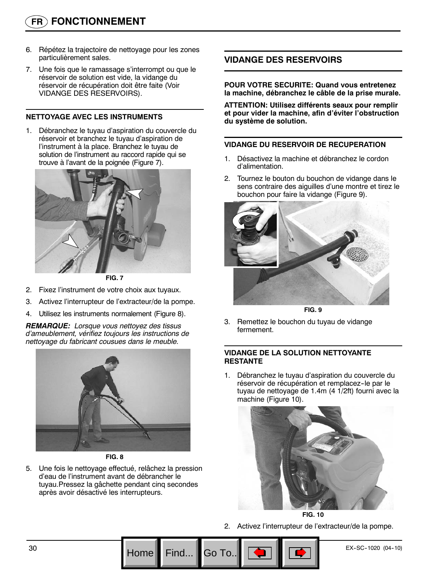- 6. Répétez la trajectoire de nettoyage pour les zones particulièrement sales.
- 7. Une fois que le ramassage s'interrompt ou que le réservoir de solution est vide, la vidange du réservoir de récupération doit être faite (Voir VIDANGE DES RESERVOIRS).

#### **NETTOYAGE AVEC LES INSTRUMENTS**

1. Débranchez le tuyau d'aspiration du couvercle du réservoir et branchez le tuyau d'aspiration de l'instrument à la place. Branchez le tuyau de solution de l'instrument au raccord rapide qui se trouve à l'avant de la poignée (Figure 7).

![](_page_29_Picture_5.jpeg)

**FIG. 7**

- 2. Fixez l'instrument de votre choix aux tuyaux.
- 3. Activez l'interrupteur de l'extracteur/de la pompe.
- 4. Utilisez les instruments normalement (Figure 8).

*REMARQUE: Lorsque vous nettoyez des tissus d'ameublement, vérifiez toujours les instructions de nettoyage du fabricant cousues dans le meuble.*

![](_page_29_Picture_11.jpeg)

**FIG. 8**

5. Une fois le nettoyage effectué, relâchez la pression d'eau de l'instrument avant de débrancher le tuyau.Pressez la gâchette pendant cinq secondes après avoir désactivé les interrupteurs.

## **VIDANGE DES RESERVOIRS**

**POUR VOTRE SECURITE: Quand vous entretenez la machine, débranchez le câble de la prise murale.**

**ATTENTION: Utilisez différents seaux pour remplir et pour vider la machine, afin d'éviter l'obstruction du système de solution.**

#### **VIDANGE DU RESERVOIR DE RECUPERATION**

- 1. Désactivez la machine et débranchez le cordon d'alimentation.
- 2. Tournez le bouton du bouchon de vidange dans le sens contraire des aiguilles d'une montre et tirez le bouchon pour faire la vidange (Figure 9).

![](_page_29_Picture_20.jpeg)

**FIG. 9**

3. Remettez le bouchon du tuyau de vidange fermement.

#### **VIDANGE DE LA SOLUTION NETTOYANTE RESTANTE**

1. Débranchez le tuyau d'aspiration du couvercle du réservoir de récupération et remplacez-le par le tuyau de nettoyage de 1.4m (4 1/2ft) fourni avec la machine (Figure 10).

![](_page_29_Picture_25.jpeg)

**FIG. 10**

2. Activez l'interrupteur de l'extracteur/de la pompe.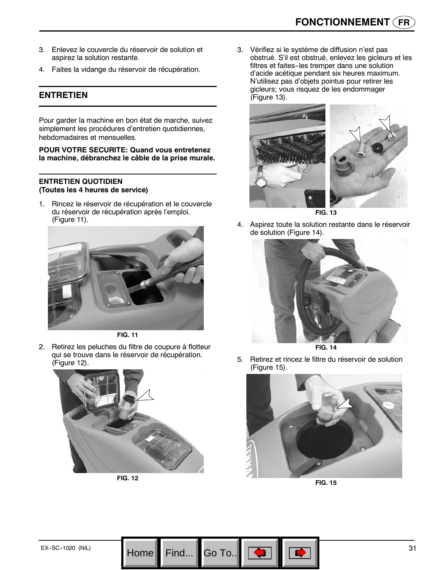- 3. Enlevez le couvercle du réservoir de solution et aspirez la solution restante.
- 4. Faites la vidange du réservoir de récupération.

## **ENTRETIEN**

Pour garder la machine en bon état de marche, suivez simplement les procédures d'entretien quotidiennes, hebdomadaires et mensuelles.

#### **POUR VOTRE SECURITE: Quand vous entretenez la machine, débranchez le câble de la prise murale.**

#### **ENTRETIEN QUOTIDIEN (Toutes les 4 heures de service)**

1. Rincez le réservoir de récupération et le couvercle du réservoir de récupération après l'emploi. (Figure 11).

![](_page_30_Picture_8.jpeg)

**FIG. 11**

2. Retirez les peluches du filtre de coupure à flotteur qui se trouve dans le réservoir de récupération. (Figure 12).

![](_page_30_Picture_11.jpeg)

**FIG. 12**

Go To.

3. Vérifiez si le système de diffusion n'est pas obstrué. S'il est obstrué, enlevez les gicleurs et les filtres et faites--les tremper dans une solution d'acide acétique pendant six heures maximum. N'utilisez pas d'objets pointus pour retirer les gicleurs; vous risquez de les endommager (Figure 13).

![](_page_30_Picture_14.jpeg)

4. Aspirez toute la solution restante dans le réservoir de solution (Figure 14).

![](_page_30_Picture_16.jpeg)

**FIG. 14**

5. Retirez et rincez le filtre du réservoir de solution (Figure 15).

![](_page_30_Picture_19.jpeg)

**FIG. 15**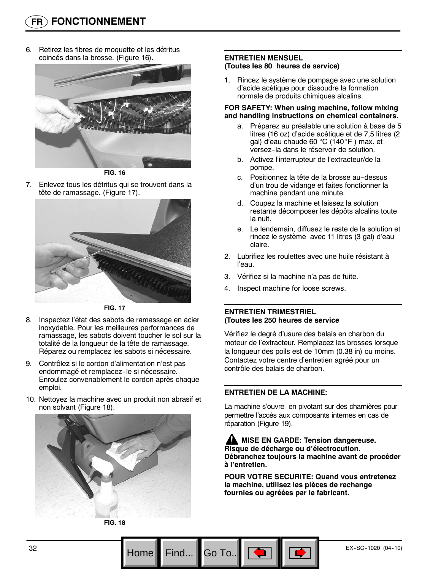6. Retirez les fibres de moquette et les détritus coincés dans la brosse. (Figure 16).

![](_page_31_Picture_2.jpeg)

**FIG. 16**

7. Enlevez tous les détritus qui se trouvent dans la tête de ramassage. (Figure 17).

![](_page_31_Picture_5.jpeg)

**FIG. 17**

- 8. Inspectez l'état des sabots de ramassage en acier inoxydable. Pour les meilleures performances de ramassage, les sabots doivent toucher le sol sur la totalité de la longueur de la tête de ramassage. Réparez ou remplacez les sabots si nécessaire.
- 9. Contrôlez si le cordon d'alimentation n'est pas endommagé et remplacez-le si nécessaire. Enroulez convenablement le cordon après chaque emploi.
- 10. Nettoyez la machine avec un produit non abrasif et non solvant (Figure 18).

![](_page_31_Picture_10.jpeg)

**FIG. 18**

#### **ENTRETIEN MENSUEL (Toutes les 80 heures de service)**

1. Rincez le système de pompage avec une solution d'acide acétique pour dissoudre la formation normale de produits chimiques alcalins.

#### **FOR SAFETY: When using machine, follow mixing and handling instructions on chemical containers.**

- a. Préparez au préalable une solution à base de 5 litres (16 oz) d'acide acétique et de 7,5 litres (2 gal) d'eau chaude 60 °C (140\_F ) max. et versez-la dans le réservoir de solution.
- b. Activez l'interrupteur de l'extracteur/de la pompe.
- c. Positionnez la tête de la brosse au-dessus d'un trou de vidange et faites fonctionner la machine pendant une minute.
- d. Coupez la machine et laissez la solution restante décomposer les dépôts alcalins toute la nuit.
- e. Le lendemain, diffusez le reste de la solution et rincez le système avec 11 litres (3 gal) d'eau claire.
- 2. Lubrifiez les roulettes avec une huile résistant à l'eau.
- 3. Vérifiez si la machine n'a pas de fuite.
- 4. Inspect machine for loose screws.

#### **ENTRETIEN TRIMESTRIEL (Toutes les 250 heures de service**

Vérifiez le degré d'usure des balais en charbon du moteur de l'extracteur. Remplacez les brosses lorsque la longueur des poils est de 10mm (0.38 in) ou moins. Contactez votre centre d'entretien agréé pour un contrôle des balais de charbon.

#### **ENTRETIEN DE LA MACHINE:**

La machine s'ouvre en pivotant sur des charnières pour permettre l'accès aux composants internes en cas de réparation (Figure 19).

**ANISE EN GARDE: Tension dangereuse. Risque de décharge ou d'électrocution. Débranchez toujours la machine avant de procéder à l'entretien.**

**POUR VOTRE SECURITE: Quand vous entretenez la machine, utilisez les pièces de rechange fournies ou agréées par le fabricant.**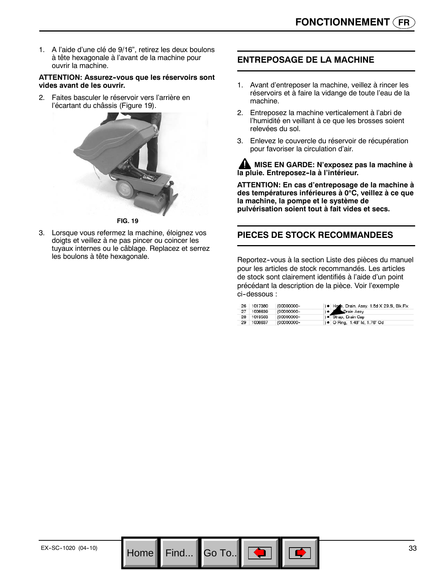1. A l'aide d'une clé de 9/16", retirez les deux boulons à tête hexagonale à l'avant de la machine pour ouvrir la machine.

#### **ATTENTION: Assurez--vous que les réservoirs sont vides avant de les ouvrir.**

2. Faites basculer le réservoir vers l'arrière en l'écartant du châssis (Figure 19).

![](_page_32_Picture_4.jpeg)

3. Lorsque vous refermez la machine, éloignez vos doigts et veillez à ne pas pincer ou coincer les tuyaux internes ou le câblage. Replacez et serrez les boulons à tête hexagonale.

## **ENTREPOSAGE DE LA MACHINE**

- 1. Avant d'entreposer la machine, veillez à rincer les réservoirs et à faire la vidange de toute l'eau de la machine.
- 2. Entreposez la machine verticalement à l'abri de l'humidité en veillant à ce que les brosses soient relevées du sol.
- 3. Enlevez le couvercle du réservoir de récupération pour favoriser la circulation d'air.

**AN MISE EN GARDE: N'exposez pas la machine à la pluie. Entreposez--la à l'intérieur.**

**ATTENTION: En cas d'entreposage de la machine à des températures inférieures à 0**°**C, veillez à ce que la machine, la pompe et le système de pulvérisation soient tout à fait vides et secs.**

## **PIECES DE STOCK RECOMMANDEES**

Reportez--vous à la section Liste des pièces du manuel pour les articles de stock recommandés. Les articles de stock sont clairement identifiés à l'aide d'un point précédant la description de la pièce. Voir l'exemple ci-dessous :

| 26 | 1017380    | (00000000- | ) . Hore, Drain, Assy, 1.5d X 29.5l, Blk, Flx |
|----|------------|------------|-----------------------------------------------|
| 27 | 1008639    | (00000000- | Drain Assy                                    |
|    | 28 1019563 | (00000000- | ) · Strap, Drain Cap                          |
| 29 | 1008637    | (00000000- | ) • O Ring, 1.48" Id, 1.76" Od                |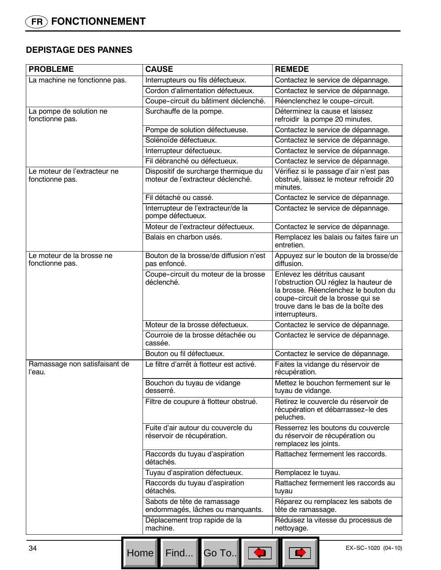## **DEPISTAGE DES PANNES**

| <b>PROBLEME</b>                                 | <b>CAUSE</b>                                                              | <b>REMEDE</b>                                                                                                                                                                                              |
|-------------------------------------------------|---------------------------------------------------------------------------|------------------------------------------------------------------------------------------------------------------------------------------------------------------------------------------------------------|
| La machine ne fonctionne pas.                   | Interrupteurs ou fils défectueux.                                         | Contactez le service de dépannage.                                                                                                                                                                         |
|                                                 | Cordon d'alimentation défectueux.                                         | Contactez le service de dépannage.                                                                                                                                                                         |
|                                                 | Coupe-circuit du bâtiment déclenché.                                      | Réenclenchez le coupe-circuit.                                                                                                                                                                             |
| La pompe de solution ne<br>fonctionne pas.      | Surchauffe de la pompe.                                                   | Déterminez la cause et laissez<br>refroidir la pompe 20 minutes.                                                                                                                                           |
|                                                 | Pompe de solution défectueuse.                                            | Contactez le service de dépannage.                                                                                                                                                                         |
|                                                 | Solénoïde défectueux.                                                     | Contactez le service de dépannage.                                                                                                                                                                         |
|                                                 | Interrupteur défectueux.                                                  | Contactez le service de dépannage.                                                                                                                                                                         |
|                                                 | Fil débranché ou défectueux.                                              | Contactez le service de dépannage.                                                                                                                                                                         |
| Le moteur de l'extracteur ne<br>fonctionne pas. | Dispositif de surcharge thermique du<br>moteur de l'extracteur déclenché. | Vérifiez si le passage d'air n'est pas<br>obstrué, laissez le moteur refroidir 20<br>minutes.                                                                                                              |
|                                                 | Fil détaché ou cassé.                                                     | Contactez le service de dépannage.                                                                                                                                                                         |
|                                                 | Interrupteur de l'extracteur/de la<br>pompe défectueux.                   | Contactez le service de dépannage.                                                                                                                                                                         |
|                                                 | Moteur de l'extracteur défectueux.                                        | Contactez le service de dépannage.                                                                                                                                                                         |
|                                                 | Balais en charbon usés.                                                   | Remplacez les balais ou faites faire un<br>entretien.                                                                                                                                                      |
| Le moteur de la brosse ne<br>fonctionne pas.    | Bouton de la brosse/de diffusion n'est<br>pas enfoncé.                    | Appuyez sur le bouton de la brosse/de<br>diffusion.                                                                                                                                                        |
|                                                 | Coupe-circuit du moteur de la brosse<br>déclenché.                        | Enlevez les détritus causant<br>l'obstruction OU réglez la hauteur de<br>la brosse. Réenclenchez le bouton du<br>coupe-circuit de la brosse qui se<br>trouve dans le bas de la boîte des<br>interrupteurs. |
|                                                 | Moteur de la brosse défectueux.                                           | Contactez le service de dépannage.                                                                                                                                                                         |
|                                                 | Courroie de la brosse détachée ou<br>cassée.                              | Contactez le service de dépannage.                                                                                                                                                                         |
|                                                 | Bouton ou fil défectueux.                                                 | Contactez le service de dépannage.                                                                                                                                                                         |
| Ramassage non satisfaisant de<br>l'eau.         | Le filtre d'arrêt à flotteur est activé.                                  | Faites la vidange du réservoir de<br>récupération.                                                                                                                                                         |
|                                                 | Bouchon du tuyau de vidange<br>desserré.                                  | Mettez le bouchon fermement sur le<br>tuyau de vidange.                                                                                                                                                    |
|                                                 | Filtre de coupure à flotteur obstrué.                                     | Retirez le couvercle du réservoir de<br>récupération et débarrassez-le des<br>peluches.                                                                                                                    |
|                                                 | Fuite d'air autour du couvercle du<br>réservoir de récupération.          | Resserrez les boutons du couvercle<br>du réservoir de récupération ou<br>remplacez les joints.                                                                                                             |
|                                                 | Raccords du tuyau d'aspiration<br>détachés.                               | Rattachez fermement les raccords.                                                                                                                                                                          |
|                                                 | Tuyau d'aspiration défectueux.                                            | Remplacez le tuyau.                                                                                                                                                                                        |
|                                                 | Raccords du tuyau d'aspiration<br>détachés.                               | Rattachez fermement les raccords au<br>tuyau                                                                                                                                                               |
|                                                 | Sabots de tête de ramassage<br>endommagés, lâches ou manquants.           | Réparez ou remplacez les sabots de<br>tête de ramassage.                                                                                                                                                   |
|                                                 | Déplacement trop rapide de la<br>machine.                                 | Réduisez la vitesse du processus de<br>nettoyage.                                                                                                                                                          |
| 34                                              |                                                                           | EX-SC-1020 (04-10)                                                                                                                                                                                         |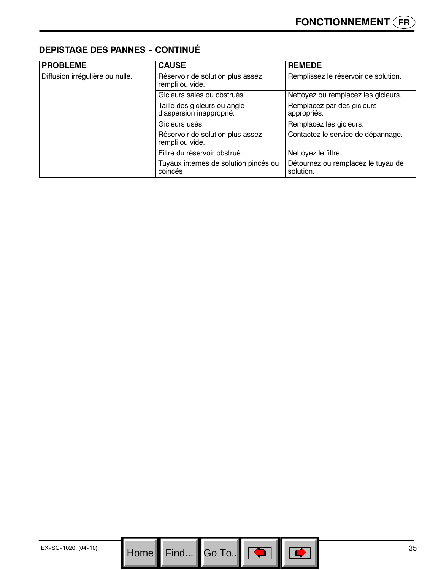## **DEPISTAGE DES PANNES - CONTINUÉ**

| <b>PROBLEME</b>                 | <b>CAUSE</b>                                             | <b>REMEDE</b>                                   |
|---------------------------------|----------------------------------------------------------|-------------------------------------------------|
| Diffusion irrégulière ou nulle. | Réservoir de solution plus assez<br>rempli ou vide.      | Remplissez le réservoir de solution.            |
|                                 | Gicleurs sales ou obstrués.                              | Nettoyez ou remplacez les gicleurs.             |
|                                 | Taille des gicleurs ou angle<br>d'aspersion inapproprié. | Remplacez par des gicleurs<br>appropriés.       |
|                                 | Gicleurs usés.                                           | Remplacez les gicleurs.                         |
|                                 | Réservoir de solution plus assez<br>rempli ou vide.      | Contactez le service de dépannage.              |
|                                 | Filtre du réservoir obstrué.                             | Nettoyez le filtre.                             |
|                                 | Tuyaux internes de solution pincés ou<br>coincés         | Détournez ou remplacez le tuyau de<br>solution. |